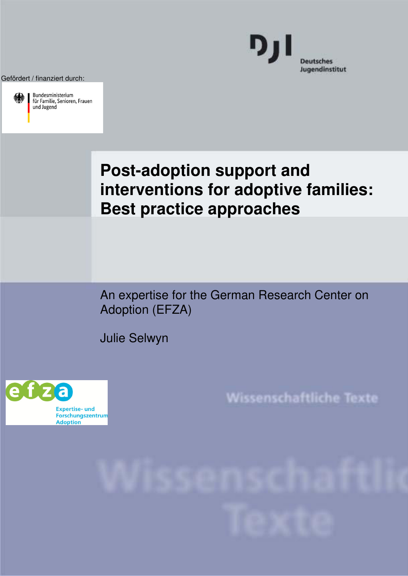Gefördert / finanziert durch:



Bundesministerium für Familie, Senioren, Frauen



# **Post-adoption support and interventions for adoptive families: Best practice approaches**

An expertise for the German Research Center on Adoption (EFZA)

Julie Selwyn



Wissenschaftliche Texte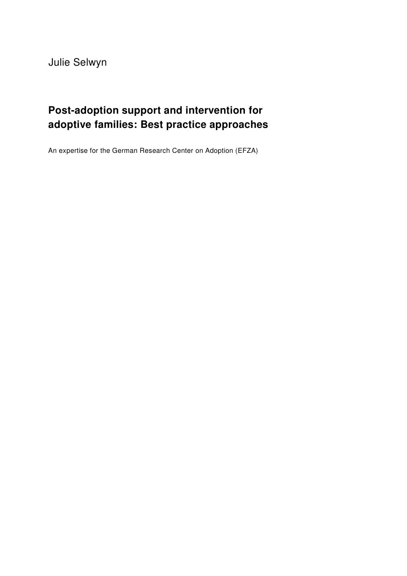Julie Selwyn

# **Post-adoption support and intervention for adoptive families: Best practice approaches**

An expertise for the German Research Center on Adoption (EFZA)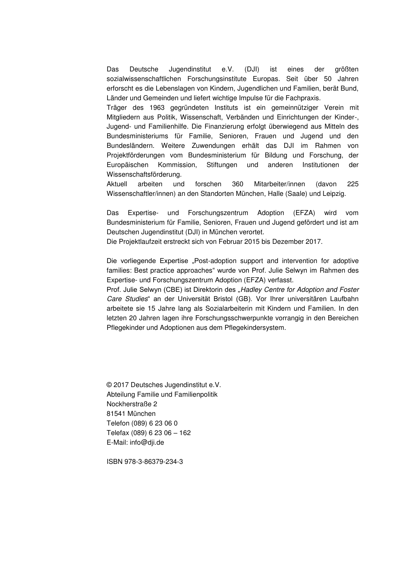Das Deutsche Jugendinstitut e.V. (DJI) ist eines der größten sozialwissenschaftlichen Forschungsinstitute Europas. Seit über 50 Jahren erforscht es die Lebenslagen von Kindern, Jugendlichen und Familien, berät Bund, Länder und Gemeinden und liefert wichtige Impulse für die Fachpraxis.

Träger des 1963 gegründeten Instituts ist ein gemeinnütziger Verein mit Mitgliedern aus Politik, Wissenschaft, Verbänden und Einrichtungen der Kinder-, Jugend- und Familienhilfe. Die Finanzierung erfolgt überwiegend aus Mitteln des Bundesministeriums für Familie, Senioren, Frauen und Jugend und den Bundesländern. Weitere Zuwendungen erhält das DJI im Rahmen von Projektförderungen vom Bundesministerium für Bildung und Forschung, der Europäischen Kommission, Stiftungen und anderen Institutionen der Wissenschaftsförderung.

Aktuell arbeiten und forschen 360 Mitarbeiter/innen (davon 225 Wissenschaftler/innen) an den Standorten München, Halle (Saale) und Leipzig.

Das Expertise- und Forschungszentrum Adoption (EFZA) wird vom Bundesministerium für Familie, Senioren, Frauen und Jugend gefördert und ist am Deutschen Jugendinstitut (DJI) in München verortet.

Die Projektlaufzeit erstreckt sich von Februar 2015 bis Dezember 2017.

Die vorliegende Expertise "Post-adoption support and intervention for adoptive families: Best practice approaches" wurde von Prof. Julie Selwyn im Rahmen des Expertise- und Forschungszentrum Adoption (EFZA) verfasst.

Prof. Julie Selwyn (CBE) ist Direktorin des "*Hadley Centre for Adoption and Foster Care Studies*" an der Universität Bristol (GB). Vor Ihrer universitären Laufbahn arbeitete sie 15 Jahre lang als Sozialarbeiterin mit Kindern und Familien. In den letzten 20 Jahren lagen ihre Forschungsschwerpunkte vorrangig in den Bereichen Pflegekinder und Adoptionen aus dem Pflegekindersystem.

© 2017 Deutsches Jugendinstitut e.V. Abteilung Familie und Familienpolitik Nockherstraße 2 81541 München Telefon (089) 6 23 06 0 Telefax (089) 6 23 06 – 162 E-Mail: info@dji.de

ISBN 978-3-86379-234-3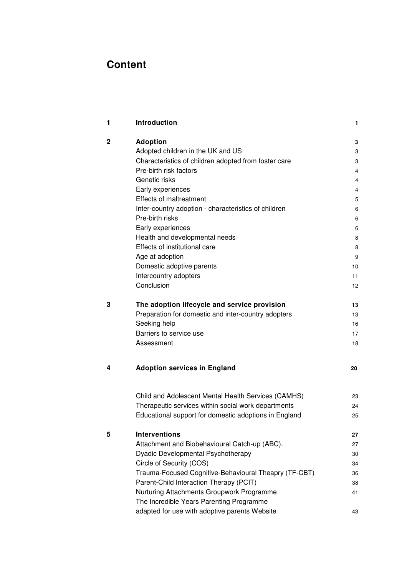# **Content**

| 1           | Introduction                                          | 1  |
|-------------|-------------------------------------------------------|----|
| $\mathbf 2$ | <b>Adoption</b>                                       | 3  |
|             | Adopted children in the UK and US                     | 3  |
|             | Characteristics of children adopted from foster care  | 3  |
|             | Pre-birth risk factors                                | 4  |
|             | Genetic risks                                         | 4  |
|             | Early experiences                                     | 4  |
|             | <b>Effects of maltreatment</b>                        | 5  |
|             | Inter-country adoption - characteristics of children  | 6  |
|             | Pre-birth risks                                       | 6  |
|             | Early experiences                                     | 6  |
|             | Health and developmental needs                        | 8  |
|             | Effects of institutional care                         | 8  |
|             | Age at adoption                                       | 9  |
|             | Domestic adoptive parents                             | 10 |
|             | Intercountry adopters                                 | 11 |
|             | Conclusion                                            | 12 |
| 3           | The adoption lifecycle and service provision          | 13 |
|             | Preparation for domestic and inter-country adopters   | 13 |
|             | Seeking help                                          | 16 |
|             | Barriers to service use                               | 17 |
|             | Assessment                                            | 18 |
| 4           | <b>Adoption services in England</b>                   | 20 |
|             | Child and Adolescent Mental Health Services (CAMHS)   | 23 |
|             | Therapeutic services within social work departments   | 24 |
|             | Educational support for domestic adoptions in England | 25 |
| 5           | <b>Interventions</b>                                  | 27 |
|             | Attachment and Biobehavioural Catch-up (ABC).         | 27 |
|             | Dyadic Developmental Psychotherapy                    | 30 |
|             | Circle of Security (COS)                              | 34 |
|             | Trauma-Focused Cognitive-Behavioural Theapry (TF-CBT) | 36 |
|             | Parent-Child Interaction Therapy (PCIT)               | 38 |
|             | Nurturing Attachments Groupwork Programme             | 41 |
|             | The Incredible Years Parenting Programme              |    |
|             | adapted for use with adoptive parents Website         | 43 |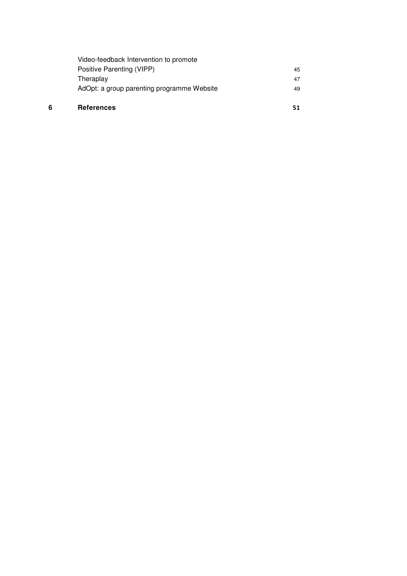| 6 | <b>References</b>                          |    |
|---|--------------------------------------------|----|
|   | AdOpt: a group parenting programme Website | 49 |
|   | Theraplay                                  | 47 |
|   | Positive Parenting (VIPP)                  | 45 |
|   | Video-feedback Intervention to promote     |    |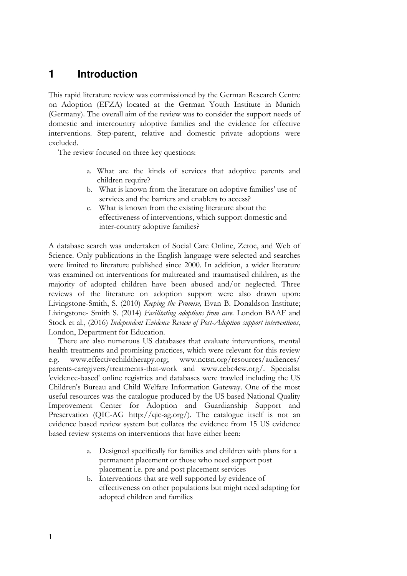# <span id="page-6-0"></span>**1 Introduction**

This rapid literature review was commissioned by the German Research Centre on Adoption (EFZA) located at the German Youth Institute in Munich (Germany). The overall aim of the review was to consider the support needs of domestic and intercountry adoptive families and the evidence for effective interventions. Step-parent, relative and domestic private adoptions were excluded.

The review focused on three key questions:

- a. What are the kinds of services that adoptive parents and children require?
- b. What is known from the literature on adoptive families' use of services and the barriers and enablers to access?
- c. What is known from the existing literature about the effectiveness of interventions, which support domestic and inter-country adoptive families?

A database search was undertaken of Social Care Online, Zetoc, and Web of Science. Only publications in the English language were selected and searches were limited to literature published since 2000. In addition, a wider literature was examined on interventions for maltreated and traumatised children, as the majority of adopted children have been abused and/or neglected. Three reviews of the literature on adoption support were also drawn upon: Livingstone-Smith, S. (2010) *Keeping the Promise,* Evan B. Donaldson Institute; Livingstone- Smith S. (2014) *Facilitating adoptions from care.* London BAAF and Stock et al., (2016) *Independent Evidence Review of Post-Adoption support interventions*, London, Department for Education.

There are also numerous US databases that evaluate interventions, mental health treatments and promising practices, which were relevant for this review e.g. [www.effectivechildtherapy.org;](http://www.effectivechildtherapy.org/) [www.nctsn.org/resources/audiences/](http://www.nctsn.org/resources/audiences/)  parents-caregivers/treatments-that-work and www.cebc4cw.org/. Specialist 'evidence-based' online registries and databases were trawled including the US Children's Bureau and Child Welfare Information Gateway. One of the most useful resources was the catalogue produced by the US based National Quality Improvement Center for Adoption and Guardianship Support and Preservation (QIC-AG http://qic-ag.org/). The catalogue itself is not an evidence based review system but collates the evidence from 15 US evidence based review systems on interventions that have either been:

- a. Designed specifically for families and children with plans for a permanent placement or those who need support post placement i.e. pre and post placement services
- b. Interventions that are well supported by evidence of effectiveness on other populations but might need adapting for adopted children and families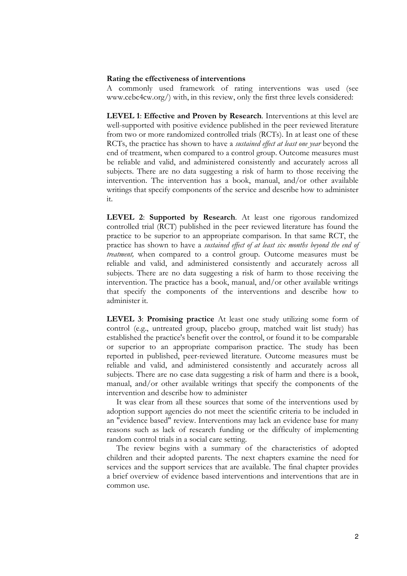#### **Rating the effectiveness of interventions**

A commonly used framework of rating interventions was used (see www.cebc4cw.org/) with, in this review, only the first three levels considered:

**LEVEL 1**: **Effective and Proven by Research**. Interventions at this level are well-supported with positive evidence published in the peer reviewed literature from two or more randomized controlled trials (RCTs). In at least one of these RCTs, the practice has shown to have a *sustained effect at least one year* beyond the end of treatment, when compared to a control group. Outcome measures must be reliable and valid, and administered consistently and accurately across all subjects. There are no data suggesting a risk of harm to those receiving the intervention. The intervention has a book, manual, and/or other available writings that specify components of the service and describe how to administer it.

**LEVEL 2**: **Supported by Research**. At least one rigorous randomized controlled trial (RCT) published in the peer reviewed literature has found the practice to be superior to an appropriate comparison. In that same RCT, the practice has shown to have a *sustained effect of at least six months beyond the end of treatment,* when compared to a control group. Outcome measures must be reliable and valid, and administered consistently and accurately across all subjects. There are no data suggesting a risk of harm to those receiving the intervention. The practice has a book, manual, and/or other available writings that specify the components of the interventions and describe how to administer it.

**LEVEL 3**: **Promising practice** At least one study utilizing some form of control (e.g., untreated group, placebo group, matched wait list study) has established the practice's benefit over the control, or found it to be comparable or superior to an appropriate comparison practice. The study has been reported in published, peer-reviewed literature. Outcome measures must be reliable and valid, and administered consistently and accurately across all subjects. There are no case data suggesting a risk of harm and there is a book, manual, and/or other available writings that specify the components of the intervention and describe how to administer

It was clear from all these sources that some of the interventions used by adoption support agencies do not meet the scientific criteria to be included in an "evidence based" review. Interventions may lack an evidence base for many reasons such as lack of research funding or the difficulty of implementing random control trials in a social care setting.

The review begins with a summary of the characteristics of adopted children and their adopted parents. The next chapters examine the need for services and the support services that are available. The final chapter provides a brief overview of evidence based interventions and interventions that are in common use.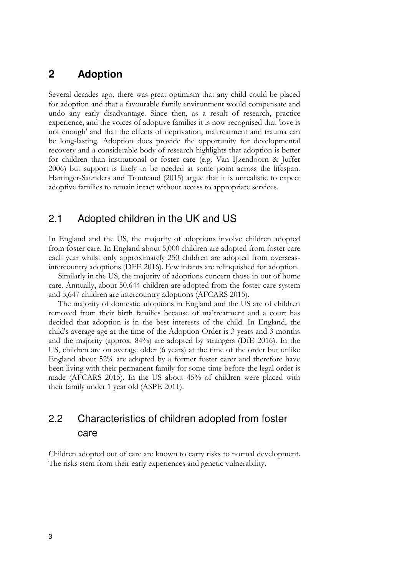# <span id="page-8-0"></span>**2 Adoption**

Several decades ago, there was great optimism that any child could be placed for adoption and that a favourable family environment would compensate and undo any early disadvantage. Since then, as a result of research, practice experience, and the voices of adoptive families it is now recognised that 'love is not enough' and that the effects of deprivation, maltreatment and trauma can be long-lasting. Adoption does provide the opportunity for developmental recovery and a considerable body of research highlights that adoption is better for children than institutional or foster care (e.g. Van IJzendoorn & Juffer 2006) but support is likely to be needed at some point across the lifespan. Hartinger-Saunders and Trouteaud (2015) argue that it is unrealistic to expect adoptive families to remain intact without access to appropriate services.

# <span id="page-8-1"></span>2.1 Adopted children in the UK and US

In England and the US, the majority of adoptions involve children adopted from foster care. In England about 5,000 children are adopted from foster care each year whilst only approximately 250 children are adopted from overseasintercountry adoptions (DFE 2016). Few infants are relinquished for adoption.

Similarly in the US, the majority of adoptions concern those in out of home care. Annually, about 50,644 children are adopted from the foster care system and 5,647 children are intercountry adoptions (AFCARS 2015).

The majority of domestic adoptions in England and the US are of children removed from their birth families because of maltreatment and a court has decided that adoption is in the best interests of the child. In England, the child's average age at the time of the Adoption Order is 3 years and 3 months and the majority (approx. 84%) are adopted by strangers (DfE 2016). In the US, children are on average older (6 years) at the time of the order but unlike England about 52% are adopted by a former foster carer and therefore have been living with their permanent family for some time before the legal order is made (AFCARS 2015). In the US about 45% of children were placed with their family under 1 year old (ASPE 2011).

# <span id="page-8-2"></span>2.2 Characteristics of children adopted from foster care

Children adopted out of care are known to carry risks to normal development. The risks stem from their early experiences and genetic vulnerability.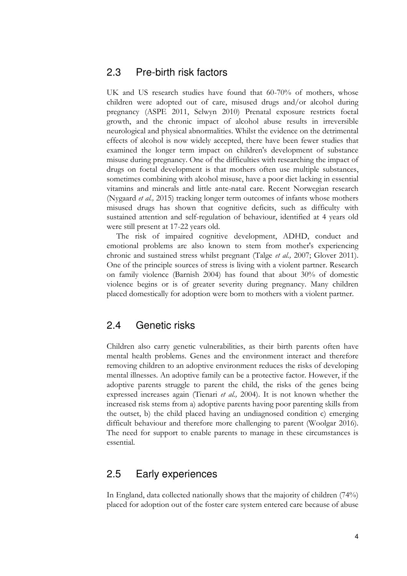# <span id="page-9-0"></span>2.3 Pre-birth risk factors

UK and US research studies have found that 60-70% of mothers, whose children were adopted out of care, misused drugs and/or alcohol during pregnancy (ASPE 2011, Selwyn 2010) Prenatal exposure restricts foetal growth, and the chronic impact of alcohol abuse results in irreversible neurological and physical abnormalities. Whilst the evidence on the detrimental effects of alcohol is now widely accepted, there have been fewer studies that examined the longer term impact on children's development of substance misuse during pregnancy. One of the difficulties with researching the impact of drugs on foetal development is that mothers often use multiple substances, sometimes combining with alcohol misuse, have a poor diet lacking in essential vitamins and minerals and little ante-natal care. Recent Norwegian research (Nygaard *et al.,* 2015) tracking longer term outcomes of infants whose mothers misused drugs has shown that cognitive deficits, such as difficulty with sustained attention and self-regulation of behaviour, identified at 4 years old were still present at 17-22 years old.

The risk of impaired cognitive development, ADHD, conduct and emotional problems are also known to stem from mother's experiencing chronic and sustained stress whilst pregnant (Talge *et al.,* 2007; Glover 2011). One of the principle sources of stress is living with a violent partner. Research on family violence (Barnish 2004) has found that about 30% of domestic violence begins or is of greater severity during pregnancy. Many children placed domestically for adoption were born to mothers with a violent partner.

# <span id="page-9-1"></span>2.4 Genetic risks

Children also carry genetic vulnerabilities, as their birth parents often have mental health problems. Genes and the environment interact and therefore removing children to an adoptive environment reduces the risks of developing mental illnesses. An adoptive family can be a protective factor. However, if the adoptive parents struggle to parent the child, the risks of the genes being expressed increases again (Tienari *et al.,* 2004). It is not known whether the increased risk stems from a) adoptive parents having poor parenting skills from the outset, b) the child placed having an undiagnosed condition c) emerging difficult behaviour and therefore more challenging to parent (Woolgar 2016). The need for support to enable parents to manage in these circumstances is essential.

# <span id="page-9-2"></span>2.5 Early experiences

In England, data collected nationally shows that the majority of children (74%) placed for adoption out of the foster care system entered care because of abuse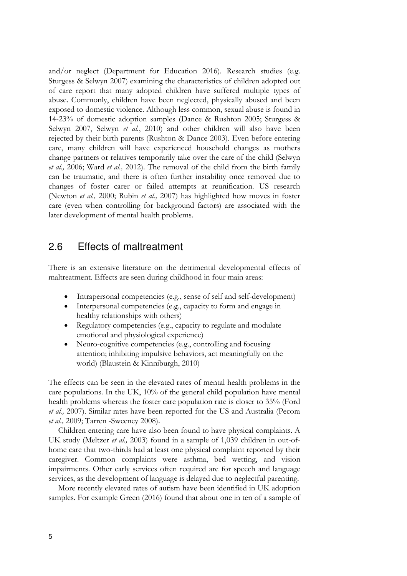and/or neglect (Department for Education 2016). Research studies (e.g. Sturgess & Selwyn 2007) examining the characteristics of children adopted out of care report that many adopted children have suffered multiple types of abuse. Commonly, children have been neglected, physically abused and been exposed to domestic violence. Although less common, sexual abuse is found in 14-23% of domestic adoption samples (Dance & Rushton 2005; Sturgess & Selwyn 2007, Selwyn *et al.*, 2010) and other children will also have been rejected by their birth parents (Rushton & Dance 2003). Even before entering care, many children will have experienced household changes as mothers change partners or relatives temporarily take over the care of the child (Selwyn *et al.,* 2006; Ward *et al.,* 2012). The removal of the child from the birth family can be traumatic, and there is often further instability once removed due to changes of foster carer or failed attempts at reunification. US research (Newton *et al.,* 2000; Rubin *et al.,* 2007) has highlighted how moves in foster care (even when controlling for background factors) are associated with the later development of mental health problems.

# <span id="page-10-0"></span>2.6 Effects of maltreatment

There is an extensive literature on the detrimental developmental effects of maltreatment. Effects are seen during childhood in four main areas:

- Intrapersonal competencies (e.g., sense of self and self-development)
- Interpersonal competencies (e.g., capacity to form and engage in healthy relationships with others)
- Regulatory competencies (e.g., capacity to regulate and modulate emotional and physiological experience)
- Neuro-cognitive competencies (e.g., controlling and focusing attention; inhibiting impulsive behaviors, act meaningfully on the world) (Blaustein & Kinniburgh, 2010)

The effects can be seen in the elevated rates of mental health problems in the care populations. In the UK, 10% of the general child population have mental health problems whereas the foster care population rate is closer to 35% (Ford *et al.,* 2007). Similar rates have been reported for the US and Australia (Pecora *et al.,* 2009; Tarren -Sweeney 2008).

Children entering care have also been found to have physical complaints. A UK study (Meltzer *et al.,* 2003) found in a sample of 1,039 children in out-ofhome care that two-thirds had at least one physical complaint reported by their caregiver. Common complaints were asthma, bed wetting, and vision impairments. Other early services often required are for speech and language services, as the development of language is delayed due to neglectful parenting.

More recently elevated rates of autism have been identified in UK adoption samples. For example Green (2016) found that about one in ten of a sample of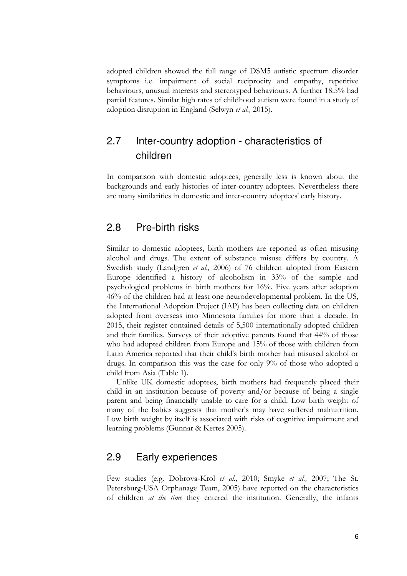adopted children showed the full range of DSM5 autistic spectrum disorder symptoms i.e. impairment of social reciprocity and empathy, repetitive behaviours, unusual interests and stereotyped behaviours. A further 18.5% had partial features. Similar high rates of childhood autism were found in a study of adoption disruption in England (Selwyn *et al.,* 2015).

# <span id="page-11-0"></span>2.7 Inter-country adoption - characteristics of children

In comparison with domestic adoptees, generally less is known about the backgrounds and early histories of inter-country adoptees. Nevertheless there are many similarities in domestic and inter-country adoptees' early history.

# <span id="page-11-1"></span>2.8 Pre-birth risks

Similar to domestic adoptees, birth mothers are reported as often misusing alcohol and drugs. The extent of substance misuse differs by country. A Swedish study (Landgren *et al.,* 2006) of 76 children adopted from Eastern Europe identified a history of alcoholism in 33% of the sample and psychological problems in birth mothers for 16%. Five years after adoption 46% of the children had at least one neurodevelopmental problem. In the US, the International Adoption Project (IAP) has been collecting data on children adopted from overseas into Minnesota families for more than a decade. In 2015, their register contained details of 5,500 internationally adopted children and their families. Surveys of their adoptive parents found that 44% of those who had adopted children from Europe and 15% of those with children from Latin America reported that their child's birth mother had misused alcohol or drugs. In comparison this was the case for only 9% of those who adopted a child from Asia (Table 1).

Unlike UK domestic adoptees, birth mothers had frequently placed their child in an institution because of poverty and/or because of being a single parent and being financially unable to care for a child. Low birth weight of many of the babies suggests that mother's may have suffered malnutrition. Low birth weight by itself is associated with risks of cognitive impairment and learning problems (Gunnar & Kertes 2005).

# <span id="page-11-2"></span>2.9 Early experiences

Few studies (e.g. Dobrova-Krol *et al.,* 2010; Smyke *et al.,* 2007; The St. Petersburg-USA Orphanage Team, 2005) have reported on the characteristics of children *at the time* they entered the institution. Generally, the infants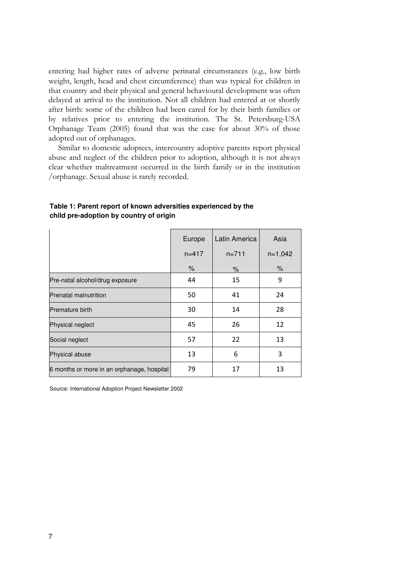entering had higher rates of adverse perinatal circumstances (e.g., low birth weight, length, head and chest circumference) than was typical for children in that country and their physical and general behavioural development was often delayed at arrival to the institution. Not all children had entered at or shortly after birth: some of the children had been cared for by their birth families or by relatives prior to entering the institution. The St. Petersburg-USA Orphanage Team (2005) found that was the case for about 30% of those adopted out of orphanages.

Similar to domestic adoptees, intercountry adoptive parents report physical abuse and neglect of the children prior to adoption, although it is not always clear whether maltreatment occurred in the birth family or in the institution /orphanage. Sexual abuse is rarely recorded.

|                                            | Europe    | Latin America | Asia      |
|--------------------------------------------|-----------|---------------|-----------|
|                                            | $n = 417$ | $n = 711$     | $n=1,042$ |
|                                            | $\%$      | %             | $\%$      |
| Pre-natal alcohol/drug exposure            | 44        | 15            | 9         |
| Prenatal malnutrition                      | 50        | 41            | 24        |
| <b>Premature birth</b>                     | 30        | 14            | 28        |
| Physical neglect                           | 45        | 26            | 12        |
| Social neglect                             | 57        | 22            | 13        |
| Physical abuse                             | 13        | 6             | 3         |
| 6 months or more in an orphanage, hospital | 79        | 17            | 13        |

#### **Table 1: Parent report of known adversities experienced by the child pre-adoption by country of origin**

Source: International Adoption Project Newsletter 2002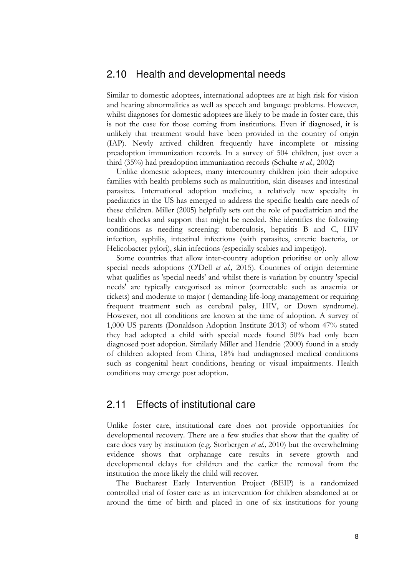# <span id="page-13-0"></span>2.10 Health and developmental needs

Similar to domestic adoptees, international adoptees are at high risk for vision and hearing abnormalities as well as speech and language problems. However, whilst diagnoses for domestic adoptees are likely to be made in foster care, this is not the case for those coming from institutions. Even if diagnosed, it is unlikely that treatment would have been provided in the country of origin (IAP). Newly arrived children frequently have incomplete or missing preadoption immunization records. In a survey of 504 children, just over a third (35%) had preadoption immunization records (Schulte *et al.,* 2002)

Unlike domestic adoptees, many intercountry children join their adoptive families with health problems such as malnutrition, skin diseases and intestinal parasites. International adoption medicine, a relatively new specialty in paediatrics in the US has emerged to address the specific health care needs of these children. Miller (2005) helpfully sets out the role of paediatrician and the health checks and support that might be needed. She identifies the following conditions as needing screening: tuberculosis, hepatitis B and C, HIV infection, syphilis, intestinal infections (with parasites, enteric bacteria, or Helicobacter pylori), skin infections (especially scabies and impetigo).

Some countries that allow inter-country adoption prioritise or only allow special needs adoptions (O'Dell *et al.,* 2015). Countries of origin determine what qualifies as 'special needs' and whilst there is variation by country 'special needs' are typically categorised as minor (correctable such as anaemia or rickets) and moderate to major ( demanding life-long management or requiring frequent treatment such as cerebral palsy, HIV, or Down syndrome). However, not all conditions are known at the time of adoption. A survey of 1,000 US parents (Donaldson Adoption Institute 2013) of whom 47% stated they had adopted a child with special needs found 50% had only been diagnosed post adoption. Similarly Miller and Hendrie (2000) found in a study of children adopted from China, 18% had undiagnosed medical conditions such as congenital heart conditions, hearing or visual impairments. Health conditions may emerge post adoption.

# <span id="page-13-1"></span>2.11 Effects of institutional care

Unlike foster care, institutional care does not provide opportunities for developmental recovery. There are a few studies that show that the quality of care does vary by institution (e.g. Storbergen *et al.,* 2010) but the overwhelming evidence shows that orphanage care results in severe growth and developmental delays for children and the earlier the removal from the institution the more likely the child will recover.

The Bucharest Early Intervention Project (BEIP) is a randomized controlled trial of foster care as an intervention for children abandoned at or around the time of birth and placed in one of six institutions for young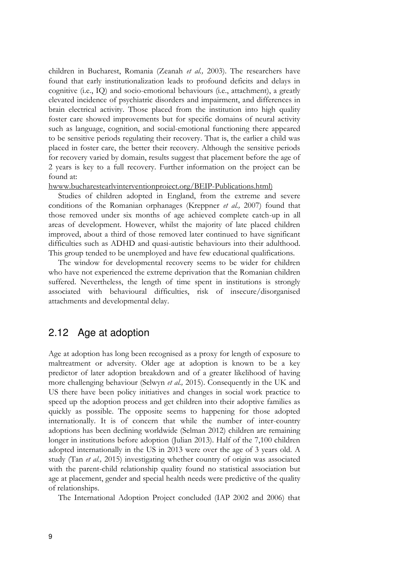children in Bucharest, Romania (Zeanah *et al.,* 2003). The researchers have found that early institutionalization leads to profound deficits and delays in cognitive (i.e., IQ) and socio-emotional behaviours (i.e., attachment), a greatly elevated incidence of psychiatric disorders and impairment, and differences in brain electrical activity. Those placed from the institution into high quality foster care showed improvements but for specific domains of neural activity such as language, cognition, and social-emotional functioning there appeared to be sensitive periods regulating their recovery. That is, the earlier a child was placed in foster care, the better their recovery. Although the sensitive periods for recovery varied by domain, results suggest that placement before the age of 2 years is key to a full recovery. Further information on the project can be found at:

hwww.bucharestearlvinterventionproiect.org/BEIP-Publications.html)

Studies of children adopted in England, from the extreme and severe conditions of the Romanian orphanages (Kreppner *et al.,* 2007) found that those removed under six months of age achieved complete catch-up in all areas of development. However, whilst the majority of late placed children improved, about a third of those removed later continued to have significant difficulties such as ADHD and quasi-autistic behaviours into their adulthood. This group tended to be unemployed and have few educational qualifications.

The window for developmental recovery seems to be wider for children who have not experienced the extreme deprivation that the Romanian children suffered. Nevertheless, the length of time spent in institutions is strongly associated with behavioural difficulties, risk of insecure/disorganised attachments and developmental delay.

# <span id="page-14-0"></span>2.12 Age at adoption

Age at adoption has long been recognised as a proxy for length of exposure to maltreatment or adversity. Older age at adoption is known to be a key predictor of later adoption breakdown and of a greater likelihood of having more challenging behaviour (Selwyn *et al.,* 2015). Consequently in the UK and US there have been policy initiatives and changes in social work practice to speed up the adoption process and get children into their adoptive families as quickly as possible. The opposite seems to happening for those adopted internationally. It is of concern that while the number of inter-country adoptions has been declining worldwide (Selman 2012) children are remaining longer in institutions before adoption (Julian 2013). Half of the 7,100 children adopted internationally in the US in 2013 were over the age of 3 years old. A study (Tan *et al.,* 2015) investigating whether country of origin was associated with the parent-child relationship quality found no statistical association but age at placement, gender and special health needs were predictive of the quality of relationships.

The International Adoption Project concluded (IAP 2002 and 2006) that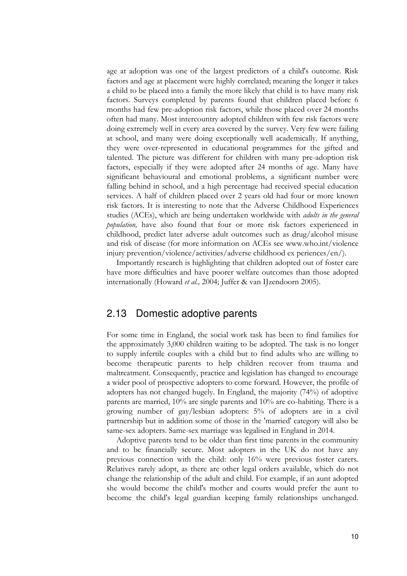age at adoption was one of the largest predictors of a child's outcome. Risk factors and age at placement were highly correlated; meaning the longer it takes a child to be placed into a family the more likely that child is to have many risk factors. Surveys completed by parents found that children placed before 6 months had few pre-adoption risk factors, while those placed over 24 months often had many. Most intercountry adopted children with few risk factors were doing extremely well in every area covered by the survey. Very few were failing at school, and many were doing exceptionally well academically. If anything, they were over-represented in educational programmes for the gifted and talented. The picture was different for children with many pre-adoption risk factors, especially if they were adopted after 24 months of age. Many have significant behavioural and emotional problems, a significant number were falling behind in school, and a high percentage had received special education services. A half of children placed over 2 years old had four or more known risk factors. It is interesting to note that the Adverse Childhood Experiences studies (ACEs), which are being undertaken worldwide with *adults in the general population,* have also found that four or more risk factors experienced in childhood, predict later adverse adult outcomes such as drug/alcohol misuse and risk of disease (for more information on ACEs see www.who.int/violence injury prevention/violence/activities/adverse childhood ex periences/en/).

Importantly research is highlighting that children adopted out of foster care have more difficulties and have poorer welfare outcomes than those adopted internationally (Howard *et al.,* 2004; Juffer & van IJzendoorn 2005).

# <span id="page-15-0"></span>2.13 Domestic adoptive parents

For some time in England, the social work task has been to find families for the approximately 3,000 children waiting to be adopted. The task is no longer to supply infertile couples with a child but to find adults who are willing to become therapeutic parents to help children recover from trauma and maltreatment. Consequently, practice and legislation has changed to encourage a wider pool of prospective adopters to come forward. However, the profile of adopters has not changed hugely. In England, the majority (74%) of adoptive parents are married, 10% are single parents and 10% are co-habiting. There is a growing number of gay/lesbian adopters: 5% of adopters are in a civil partnership but in addition some of those in the 'married' category will also be same-sex adopters. Same-sex marriage was legalised in England in 2014.

Adoptive parents tend to be older than first time parents in the community and to be financially secure. Most adopters in the UK do not have any previous connection with the child: only 16% were previous foster carers. Relatives rarely adopt, as there are other legal orders available, which do not change the relationship of the adult and child. For example, if an aunt adopted she would become the child's mother and courts would prefer the aunt to become the child's legal guardian keeping family relationships unchanged.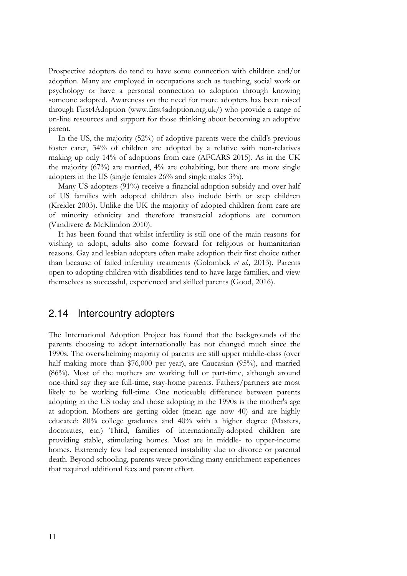Prospective adopters do tend to have some connection with children and/or adoption. Many are employed in occupations such as teaching, social work or psychology or have a personal connection to adoption through knowing someone adopted. Awareness on the need for more adopters has been raised through First4Adoption [\(www.first4adoption.org.uk/\)](http://(www.first4adoption.org.uk/) who provide a range of on-line resources and support for those thinking about becoming an adoptive parent.

In the US, the majority (52%) of adoptive parents were the child's previous foster carer, 34% of children are adopted by a relative with non-relatives making up only 14% of adoptions from care (AFCARS 2015). As in the UK the majority (67%) are married, 4% are cohabiting, but there are more single adopters in the US (single females 26% and single males 3%).

Many US adopters (91%) receive a financial adoption subsidy and over half of US families with adopted children also include birth or step children (Kreider 2003). Unlike the UK the majority of adopted children from care are of minority ethnicity and therefore transracial adoptions are common (Vandivere & McKlindon 2010).

It has been found that whilst infertility is still one of the main reasons for wishing to adopt, adults also come forward for religious or humanitarian reasons. Gay and lesbian adopters often make adoption their first choice rather than because of failed infertility treatments (Golombek *et al.,* 2013). Parents open to adopting children with disabilities tend to have large families, and view themselves as successful, experienced and skilled parents (Good, 2016).

# <span id="page-16-0"></span>2.14 Intercountry adopters

The International Adoption Project has found that the backgrounds of the parents choosing to adopt internationally has not changed much since the 1990s. The overwhelming majority of parents are still upper middle-class (over half making more than \$76,000 per year), are Caucasian (95%), and married (86%). Most of the mothers are working full or part-time, although around one-third say they are full-time, stay-home parents. Fathers/partners are most likely to be working full-time. One noticeable difference between parents adopting in the US today and those adopting in the 1990s is the mother's age at adoption. Mothers are getting older (mean age now 40) and are highly educated: 80% college graduates and 40% with a higher degree (Masters, doctorates, etc.) Third, families of internationally-adopted children are providing stable, stimulating homes. Most are in middle- to upper-income homes. Extremely few had experienced instability due to divorce or parental death. Beyond schooling, parents were providing many enrichment experiences that required additional fees and parent effort.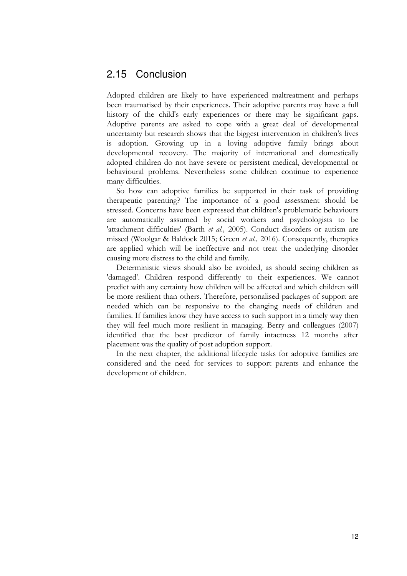# <span id="page-17-0"></span>2.15 Conclusion

Adopted children are likely to have experienced maltreatment and perhaps been traumatised by their experiences. Their adoptive parents may have a full history of the child's early experiences or there may be significant gaps. Adoptive parents are asked to cope with a great deal of developmental uncertainty but research shows that the biggest intervention in children's lives is adoption. Growing up in a loving adoptive family brings about developmental recovery. The majority of international and domestically adopted children do not have severe or persistent medical, developmental or behavioural problems. Nevertheless some children continue to experience many difficulties.

So how can adoptive families be supported in their task of providing therapeutic parenting? The importance of a good assessment should be stressed. Concerns have been expressed that children's problematic behaviours are automatically assumed by social workers and psychologists to be 'attachment difficulties' (Barth *et al.,* 2005). Conduct disorders or autism are missed (Woolgar & Baldock 2015; Green *et al.,* 2016). Consequently, therapies are applied which will be ineffective and not treat the underlying disorder causing more distress to the child and family.

Deterministic views should also be avoided, as should seeing children as 'damaged'. Children respond differently to their experiences. We cannot predict with any certainty how children will be affected and which children will be more resilient than others. Therefore, personalised packages of support are needed which can be responsive to the changing needs of children and families. If families know they have access to such support in a timely way then they will feel much more resilient in managing. Berry and colleagues (2007) identified that the best predictor of family intactness 12 months after placement was the quality of post adoption support.

In the next chapter, the additional lifecycle tasks for adoptive families are considered and the need for services to support parents and enhance the development of children.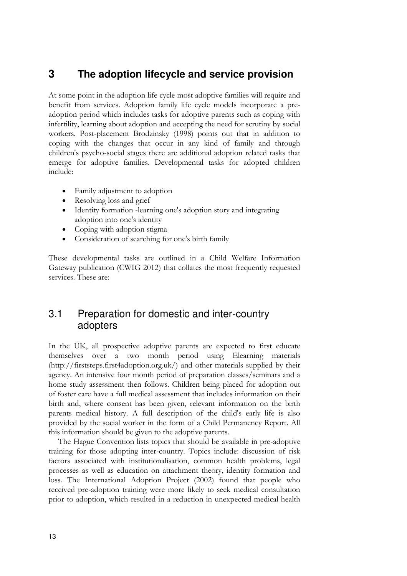# <span id="page-18-0"></span>**3 The adoption lifecycle and service provision**

At some point in the adoption life cycle most adoptive families will require and benefit from services. Adoption family life cycle models incorporate a preadoption period which includes tasks for adoptive parents such as coping with infertility, learning about adoption and accepting the need for scrutiny by social workers. Post-placement Brodzinsky (1998) points out that in addition to coping with the changes that occur in any kind of family and through children's psycho-social stages there are additional adoption related tasks that emerge for adoptive families. Developmental tasks for adopted children include:

- Family adjustment to adoption
- Resolving loss and grief
- Identity formation -learning one's adoption story and integrating adoption into one's identity
- Coping with adoption stigma
- Consideration of searching for one's birth family

These developmental tasks are outlined in a Child Welfare Information Gateway publication (CWIG 2012) that collates the most frequently requested services. These are:

# <span id="page-18-1"></span>3.1 Preparation for domestic and inter-country adopters

In the UK, all prospective adoptive parents are expected to first educate themselves over a two month period using Elearning materials (http://firststeps.first4adoption.org.uk/) and other materials supplied by their agency. An intensive four month period of preparation classes/seminars and a home study assessment then follows. Children being placed for adoption out of foster care have a full medical assessment that includes information on their birth and, where consent has been given, relevant information on the birth parents medical history. A full description of the child's early life is also provided by the social worker in the form of a Child Permanency Report. All this information should be given to the adoptive parents.

The Hague Convention lists topics that should be available in pre-adoptive training for those adopting inter-country. Topics include: discussion of risk factors associated with institutionalisation, common health problems, legal processes as well as education on attachment theory, identity formation and loss. The International Adoption Project (2002) found that people who received pre-adoption training were more likely to seek medical consultation prior to adoption, which resulted in a reduction in unexpected medical health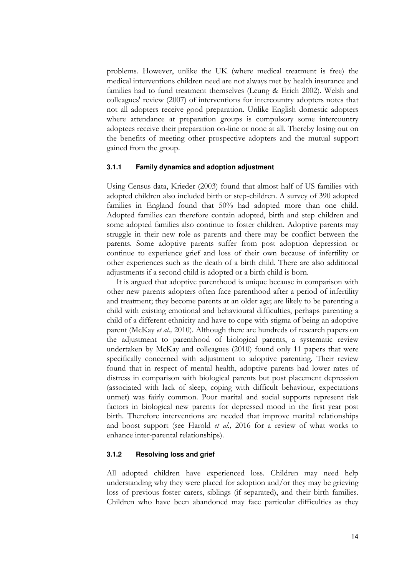problems. However, unlike the UK (where medical treatment is free) the medical interventions children need are not always met by health insurance and families had to fund treatment themselves (Leung & Erich 2002). Welsh and colleagues' review (2007) of interventions for intercountry adopters notes that not all adopters receive good preparation. Unlike English domestic adopters where attendance at preparation groups is compulsory some intercountry adoptees receive their preparation on-line or none at all. Thereby losing out on the benefits of meeting other prospective adopters and the mutual support gained from the group.

#### **3.1.1 Family dynamics and adoption adjustment**

Using Census data, Krieder (2003) found that almost half of US families with adopted children also included birth or step-children. A survey of 390 adopted families in England found that 50% had adopted more than one child. Adopted families can therefore contain adopted, birth and step children and some adopted families also continue to foster children. Adoptive parents may struggle in their new role as parents and there may be conflict between the parents. Some adoptive parents suffer from post adoption depression or continue to experience grief and loss of their own because of infertility or other experiences such as the death of a birth child. There are also additional adjustments if a second child is adopted or a birth child is born.

It is argued that adoptive parenthood is unique because in comparison with other new parents adopters often face parenthood after a period of infertility and treatment; they become parents at an older age; are likely to be parenting a child with existing emotional and behavioural difficulties, perhaps parenting a child of a different ethnicity and have to cope with stigma of being an adoptive parent (McKay *et al.,* 2010). Although there are hundreds of research papers on the adjustment to parenthood of biological parents, a systematic review undertaken by McKay and colleagues (2010) found only 11 papers that were specifically concerned with adjustment to adoptive parenting. Their review found that in respect of mental health, adoptive parents had lower rates of distress in comparison with biological parents but post placement depression (associated with lack of sleep, coping with difficult behaviour, expectations unmet) was fairly common. Poor marital and social supports represent risk factors in biological new parents for depressed mood in the first year post birth. Therefore interventions are needed that improve marital relationships and boost support (see Harold *et al.,* 2016 for a review of what works to enhance inter-parental relationships).

#### **3.1.2 Resolving loss and grief**

All adopted children have experienced loss. Children may need help understanding why they were placed for adoption and/or they may be grieving loss of previous foster carers, siblings (if separated), and their birth families. Children who have been abandoned may face particular difficulties as they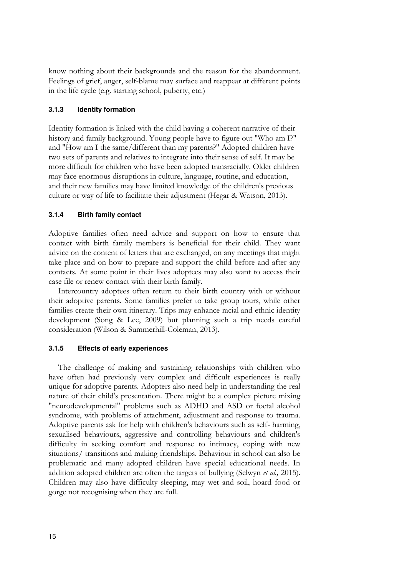know nothing about their backgrounds and the reason for the abandonment. Feelings of grief, anger, self-blame may surface and reappear at different points in the life cycle (e.g. starting school, puberty, etc.)

#### **3.1.3 Identity formation**

Identity formation is linked with the child having a coherent narrative of their history and family background. Young people have to figure out "Who am I?" and "How am I the same/different than my parents?" Adopted children have two sets of parents and relatives to integrate into their sense of self. It may be more difficult for children who have been adopted transracially. Older children may face enormous disruptions in culture, language, routine, and education, and their new families may have limited knowledge of the children's previous culture or way of life to facilitate their adjustment (Hegar & Watson, 2013).

#### **3.1.4 Birth family contact**

Adoptive families often need advice and support on how to ensure that contact with birth family members is beneficial for their child. They want advice on the content of letters that are exchanged, on any meetings that might take place and on how to prepare and support the child before and after any contacts. At some point in their lives adoptees may also want to access their case file or renew contact with their birth family.

Intercountry adoptees often return to their birth country with or without their adoptive parents. Some families prefer to take group tours, while other families create their own itinerary. Trips may enhance racial and ethnic identity development (Song & Lee, 2009) but planning such a trip needs careful consideration (Wilson & Summerhill-Coleman, 2013).

#### **3.1.5 Effects of early experiences**

The challenge of making and sustaining relationships with children who have often had previously very complex and difficult experiences is really unique for adoptive parents. Adopters also need help in understanding the real nature of their child's presentation. There might be a complex picture mixing "neurodevelopmental" problems such as ADHD and ASD or foetal alcohol syndrome, with problems of attachment, adjustment and response to trauma. Adoptive parents ask for help with children's behaviours such as self- harming, sexualised behaviours, aggressive and controlling behaviours and children's difficulty in seeking comfort and response to intimacy, coping with new situations/ transitions and making friendships. Behaviour in school can also be problematic and many adopted children have special educational needs. In addition adopted children are often the targets of bullying (Selwyn *et al.,* 2015). Children may also have difficulty sleeping, may wet and soil, hoard food or gorge not recognising when they are full.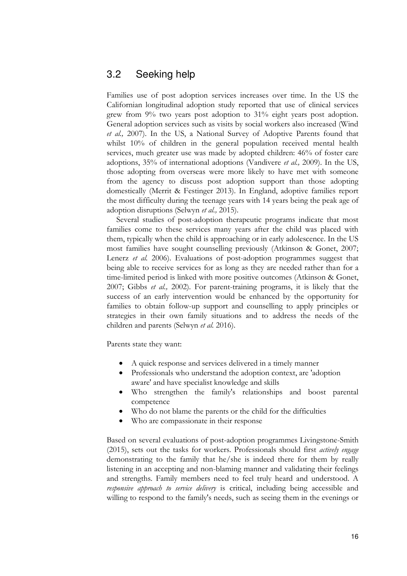# <span id="page-21-0"></span>3.2 Seeking help

Families use of post adoption services increases over time. In the US the Californian longitudinal adoption study reported that use of clinical services grew from 9% two years post adoption to 31% eight years post adoption. General adoption services such as visits by social workers also increased (Wind *et al.,* 2007). In the US, a National Survey of Adoptive Parents found that whilst 10% of children in the general population received mental health services, much greater use was made by adopted children: 46% of foster care adoptions, 35% of international adoptions (Vandivere *et al.,* 2009). In the US, those adopting from overseas were more likely to have met with someone from the agency to discuss post adoption support than those adopting domestically (Merrit & Festinger 2013). In England, adoptive families report the most difficulty during the teenage years with 14 years being the peak age of adoption disruptions (Selwyn *et al.,* 2015).

Several studies of post-adoption therapeutic programs indicate that most families come to these services many years after the child was placed with them, typically when the child is approaching or in early adolescence. In the US most families have sought counselling previously (Atkinson & Gonet, 2007; Lenerz *et al.* 2006). Evaluations of post-adoption programmes suggest that being able to receive services for as long as they are needed rather than for a time-limited period is linked with more positive outcomes (Atkinson & Gonet, 2007; Gibbs *et al.,* 2002). For parent-training programs, it is likely that the success of an early intervention would be enhanced by the opportunity for families to obtain follow-up support and counselling to apply principles or strategies in their own family situations and to address the needs of the children and parents (Selwyn *et al.* 2016).

Parents state they want:

- A quick response and services delivered in a timely manner
- Professionals who understand the adoption context, are 'adoption aware' and have specialist knowledge and skills
- Who strengthen the family's relationships and boost parental competence
- Who do not blame the parents or the child for the difficulties
- Who are compassionate in their response

Based on several evaluations of post-adoption programmes Livingstone-Smith (2015), sets out the tasks for workers. Professionals should first *actively engage* demonstrating to the family that he/she is indeed there for them by really listening in an accepting and non-blaming manner and validating their feelings and strengths. Family members need to feel truly heard and understood. A *responsive approach to service delivery* is critical, including being accessible and willing to respond to the family's needs, such as seeing them in the evenings or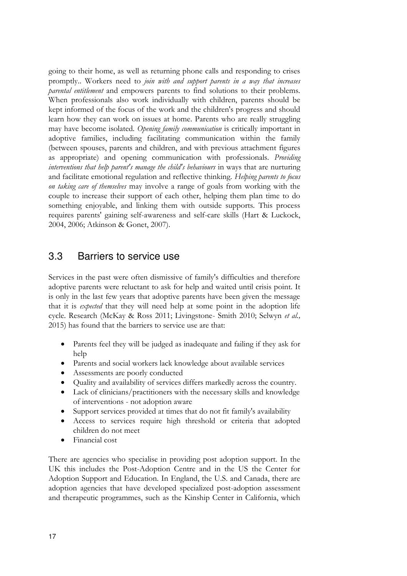going to their home, as well as returning phone calls and responding to crises promptly.. Workers need to *join with and support parents in a way that increases parental entitlement* and empowers parents to find solutions to their problems. When professionals also work individually with children, parents should be kept informed of the focus of the work and the children's progress and should learn how they can work on issues at home. Parents who are really struggling may have become isolated. *Opening family communication* is critically important in adoptive families, including facilitating communication within the family (between spouses, parents and children, and with previous attachment figures as appropriate) and opening communication with professionals. *Providing interventions that help parent's manage the child's behaviours* in ways that are nurturing and facilitate emotional regulation and reflective thinking. *Helping parents to focus on taking care of themselves* may involve a range of goals from working with the couple to increase their support of each other, helping them plan time to do something enjoyable, and linking them with outside supports. This process requires parents' gaining self-awareness and self-care skills (Hart & Luckock, 2004, 2006; Atkinson & Gonet, 2007).

# <span id="page-22-0"></span>3.3 Barriers to service use

Services in the past were often dismissive of family's difficulties and therefore adoptive parents were reluctant to ask for help and waited until crisis point. It is only in the last few years that adoptive parents have been given the message that it is *expected* that they will need help at some point in the adoption life cycle. Research (McKay & Ross 2011; Livingstone- Smith 2010; Selwyn *et al.,* 2015) has found that the barriers to service use are that:

- Parents feel they will be judged as inadequate and failing if they ask for help
- Parents and social workers lack knowledge about available services
- Assessments are poorly conducted
- Quality and availability of services differs markedly across the country.
- Lack of clinicians/practitioners with the necessary skills and knowledge of interventions - not adoption aware
- Support services provided at times that do not fit family's availability
- Access to services require high threshold or criteria that adopted children do not meet
- Financial cost

There are agencies who specialise in providing post adoption support. In the UK this includes the Post-Adoption Centre and in the US the Center for Adoption Support and Education. In England, the U.S. and Canada, there are adoption agencies that have developed specialized post-adoption assessment and therapeutic programmes, such as the Kinship Center in California, which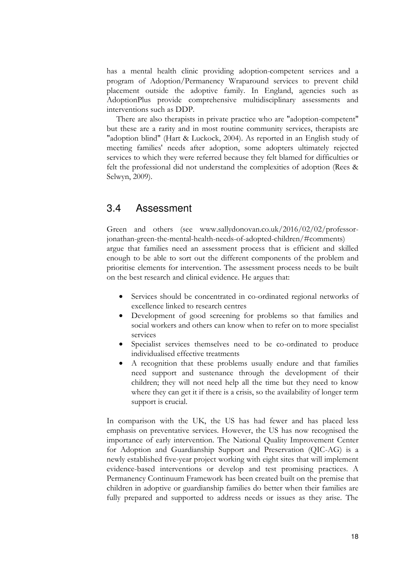has a mental health clinic providing adoption-competent services and a program of Adoption/Permanency Wraparound services to prevent child placement outside the adoptive family. In England, agencies such as AdoptionPlus provide comprehensive multidisciplinary assessments and interventions such as DDP.

There are also therapists in private practice who are "adoption-competent" but these are a rarity and in most routine community services, therapists are "adoption blind" (Hart & Luckock, 2004). As reported in an English study of meeting families' needs after adoption, some adopters ultimately rejected services to which they were referred because they felt blamed for difficulties or felt the professional did not understand the complexities of adoption (Rees & Selwyn, 2009).

# <span id="page-23-0"></span>3.4 Assessment

Green and others (see www.sallydonovan.co.uk/2016/02/02/professorjonathan-green-the-mental-health-needs-of-adopted-children/#comments) argue that families need an assessment process that is efficient and skilled enough to be able to sort out the different components of the problem and prioritise elements for intervention. The assessment process needs to be built on the best research and clinical evidence. He argues that:

- Services should be concentrated in co-ordinated regional networks of excellence linked to research centres
- Development of good screening for problems so that families and social workers and others can know when to refer on to more specialist services
- Specialist services themselves need to be co-ordinated to produce individualised effective treatments
- A recognition that these problems usually endure and that families need support and sustenance through the development of their children; they will not need help all the time but they need to know where they can get it if there is a crisis, so the availability of longer term support is crucial.

In comparison with the UK, the US has had fewer and has placed less emphasis on preventative services. However, the US has now recognised the importance of early intervention. The National Quality Improvement Center for Adoption and Guardianship Support and Preservation (QIC-AG) is a newly established five-year project working with eight sites that will implement evidence-based interventions or develop and test promising practices. A Permanency Continuum Framework has been created built on the premise that children in adoptive or guardianship families do better when their families are fully prepared and supported to address needs or issues as they arise. The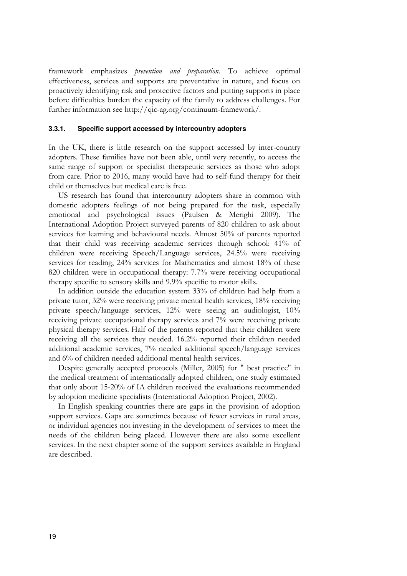framework emphasizes *prevention and preparation.* To achieve optimal effectiveness, services and supports are preventative in nature, and focus on proactively identifying risk and protective factors and putting supports in place before difficulties burden the capacity of the family to address challenges. For further information see http://qic-ag.org/continuum-framework/.

#### **3.3.1. Specific support accessed by intercountry adopters**

In the UK, there is little research on the support accessed by inter-country adopters. These families have not been able, until very recently, to access the same range of support or specialist therapeutic services as those who adopt from care. Prior to 2016, many would have had to self-fund therapy for their child or themselves but medical care is free.

US research has found that intercountry adopters share in common with domestic adopters feelings of not being prepared for the task, especially emotional and psychological issues (Paulsen & Merighi 2009). The International Adoption Project surveyed parents of 820 children to ask about services for learning and behavioural needs. Almost 50% of parents reported that their child was receiving academic services through school: 41% of children were receiving Speech/Language services, 24.5% were receiving services for reading, 24% services for Mathematics and almost 18% of these 820 children were in occupational therapy: 7.7% were receiving occupational therapy specific to sensory skills and 9.9% specific to motor skills.

In addition outside the education system 33% of children had help from a private tutor, 32% were receiving private mental health services, 18% receiving private speech/language services, 12% were seeing an audiologist, 10% receiving private occupational therapy services and 7% were receiving private physical therapy services. Half of the parents reported that their children were receiving all the services they needed. 16.2% reported their children needed additional academic services, 7% needed additional speech/language services and 6% of children needed additional mental health services.

Despite generally accepted protocols (Miller, 2005) for " best practice" in the medical treatment of internationally adopted children, one study estimated that only about 15-20% of IA children received the evaluations recommended by adoption medicine specialists (International Adoption Project, 2002).

In English speaking countries there are gaps in the provision of adoption support services. Gaps are sometimes because of fewer services in rural areas, or individual agencies not investing in the development of services to meet the needs of the children being placed. However there are also some excellent services. In the next chapter some of the support services available in England are described.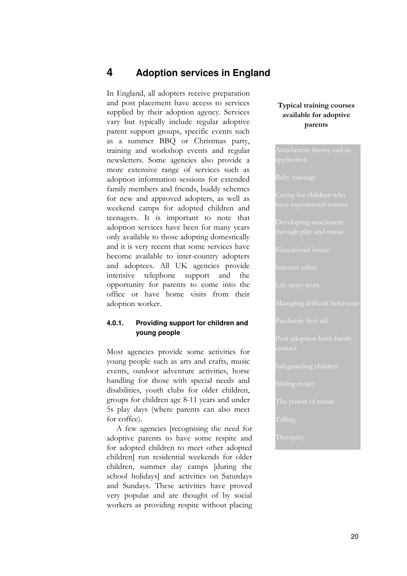# <span id="page-25-0"></span>**4 Adoption services in England**

In England, all adopters receive preparation and post placement have access to services supplied by their adoption agency. Services vary but typically include regular adoptive parent support groups, specific events such as a summer BBQ or Christmas party, training and workshop events and regular newsletters. Some agencies also provide a more extensive range of services such as adoption information sessions for extended family members and friends, buddy schemes for new and approved adopters, as well as weekend camps for adopted children and teenagers. It is important to note that adoption services have been for many years only available to those adopting domestically and it is very recent that some services have become available to inter-country adopters and adoptees. All UK agencies provide intensive telephone support and the opportunity for parents to come into the office or have home visits from their adoption worker.

#### **4.0.1. Providing support for children and young people**

Most agencies provide some activities for young people such as arts and crafts, music events, outdoor adventure activities, horse handling for those with special needs and disabilities, youth clubs for older children, groups for children age 8-11 years and under 5s play days (where parents can also meet for coffee).

A few agencies [recognising the need for adoptive parents to have some respite and for adopted children to meet other adopted children] run residential weekends for older children, summer day camps [during the school holidays] and activities on Saturdays and Sundays. These activities have proved very popular and are thought of by social workers as providing respite without placing

#### **Typical training courses available for adoptive parents**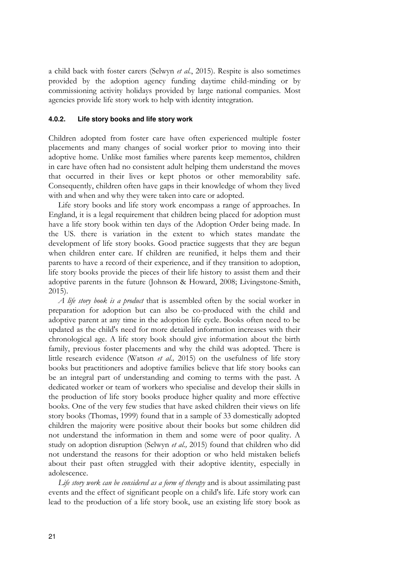a child back with foster carers (Selwyn *et al.*, 2015). Respite is also sometimes provided by the adoption agency funding daytime child-minding or by commissioning activity holidays provided by large national companies. Most agencies provide life story work to help with identity integration.

#### **4.0.2. Life story books and life story work**

Children adopted from foster care have often experienced multiple foster placements and many changes of social worker prior to moving into their adoptive home. Unlike most families where parents keep mementos, children in care have often had no consistent adult helping them understand the moves that occurred in their lives or kept photos or other memorability safe. Consequently, children often have gaps in their knowledge of whom they lived with and when and why they were taken into care or adopted.

Life story books and life story work encompass a range of approaches. In England, it is a legal requirement that children being placed for adoption must have a life story book within ten days of the Adoption Order being made. In the US. there is variation in the extent to which states mandate the development of life story books. Good practice suggests that they are begun when children enter care. If children are reunified, it helps them and their parents to have a record of their experience, and if they transition to adoption, life story books provide the pieces of their life history to assist them and their adoptive parents in the future (Johnson & Howard, 2008; Livingstone-Smith, 2015).

*A life story book is a product* that is assembled often by the social worker in preparation for adoption but can also be co-produced with the child and adoptive parent at any time in the adoption life cycle. Books often need to be updated as the child's need for more detailed information increases with their chronological age. A life story book should give information about the birth family, previous foster placements and why the child was adopted. There is little research evidence (Watson *et al.,* 2015) on the usefulness of life story books but practitioners and adoptive families believe that life story books can be an integral part of understanding and coming to terms with the past. A dedicated worker or team of workers who specialise and develop their skills in the production of life story books produce higher quality and more effective books. One of the very few studies that have asked children their views on life story books (Thomas, 1999) found that in a sample of 33 domestically adopted children the majority were positive about their books but some children did not understand the information in them and some were of poor quality. A study on adoption disruption (Selwyn *et al.,* 2015) found that children who did not understand the reasons for their adoption or who held mistaken beliefs about their past often struggled with their adoptive identity, especially in adolescence.

*Life story work can be considered as a form of therapy* and is about assimilating past events and the effect of significant people on a child's life. Life story work can lead to the production of a life story book, use an existing life story book as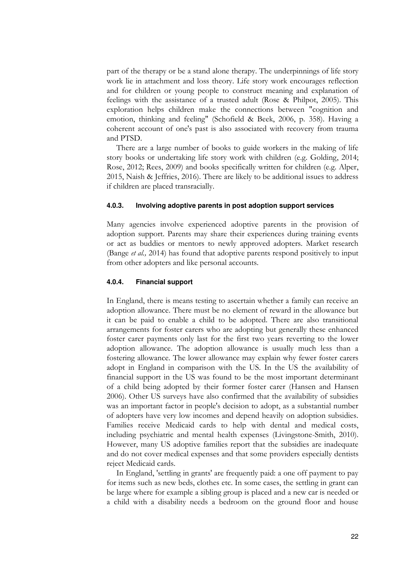part of the therapy or be a stand alone therapy. The underpinnings of life story work lie in attachment and loss theory. Life story work encourages reflection and for children or young people to construct meaning and explanation of feelings with the assistance of a trusted adult (Rose & Philpot, 2005). This exploration helps children make the connections between "cognition and emotion, thinking and feeling" (Schofield & Beek, 2006, p. 358). Having a coherent account of one's past is also associated with recovery from trauma and PTSD.

There are a large number of books to guide workers in the making of life story books or undertaking life story work with children (e.g. Golding, 2014; Rose, 2012; Rees, 2009) and books specifically written for children (e.g. Alper, 2015, Naish & Jeffries, 2016). There are likely to be additional issues to address if children are placed transracially.

#### **4.0.3. Involving adoptive parents in post adoption support services**

Many agencies involve experienced adoptive parents in the provision of adoption support. Parents may share their experiences during training events or act as buddies or mentors to newly approved adopters. Market research (Bange *et al.,* 2014) has found that adoptive parents respond positively to input from other adopters and like personal accounts.

#### **4.0.4. Financial support**

In England, there is means testing to ascertain whether a family can receive an adoption allowance. There must be no element of reward in the allowance but it can be paid to enable a child to be adopted. There are also transitional arrangements for foster carers who are adopting but generally these enhanced foster carer payments only last for the first two years reverting to the lower adoption allowance. The adoption allowance is usually much less than a fostering allowance. The lower allowance may explain why fewer foster carers adopt in England in comparison with the US. In the US the availability of financial support in the US was found to be the most important determinant of a child being adopted by their former foster carer (Hansen and Hansen 2006). Other US surveys have also confirmed that the availability of subsidies was an important factor in people's decision to adopt, as a substantial number of adopters have very low incomes and depend heavily on adoption subsidies. Families receive Medicaid cards to help with dental and medical costs, including psychiatric and mental health expenses (Livingstone-Smith, 2010). However, many US adoptive families report that the subsidies are inadequate and do not cover medical expenses and that some providers especially dentists reject Medicaid cards.

In England, 'settling in grants' are frequently paid: a one off payment to pay for items such as new beds, clothes etc. In some cases, the settling in grant can be large where for example a sibling group is placed and a new car is needed or a child with a disability needs a bedroom on the ground floor and house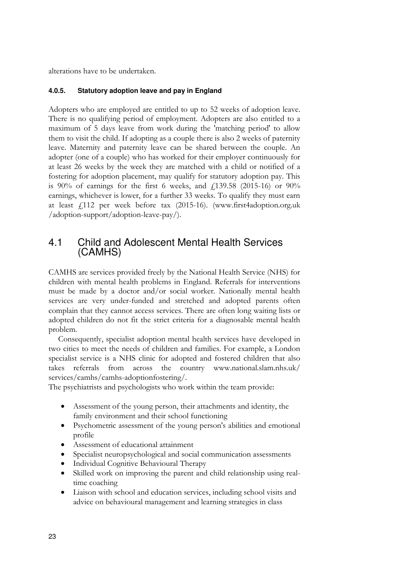alterations have to be undertaken.

### **4.0.5. Statutory adoption leave and pay in England**

Adopters who are employed are entitled to up to 52 weeks of adoption leave. There is no qualifying period of employment. Adopters are also entitled to a maximum of 5 days leave from work during the 'matching period' to allow them to visit the child. If adopting as a couple there is also 2 weeks of paternity leave. Maternity and paternity leave can be shared between the couple. An adopter (one of a couple) who has worked for their employer continuously for at least 26 weeks by the week they are matched with a child or notified of a fostering for adoption placement, may qualify for statutory adoption pay. This is 90% of earnings for the first 6 weeks, and  $\frac{139.58}{2015-16}$  or 90% earnings, whichever is lower, for a further 33 weeks. To qualify they must earn at least £112 per week before tax (2015-16). [\(www.first4adoption.org.uk](http://www.first4adoption.org.uk/)  /adoption-support/adoption-leave-pay/).

# <span id="page-28-0"></span>4.1 Child and Adolescent Mental Health Services (CAMHS)

CAMHS are services provided freely by the National Health Service (NHS) for children with mental health problems in England. Referrals for interventions must be made by a doctor and/or social worker. Nationally mental health services are very under-funded and stretched and adopted parents often complain that they cannot access services. There are often long waiting lists or adopted children do not fit the strict criteria for a diagnosable mental health problem.

Consequently, specialist adoption mental health services have developed in two cities to meet the needs of children and families. For example, a London specialist service is a NHS clinic for adopted and fostered children that also takes referrals from across the country [www.national.slam.nhs.uk/](http://www.national.slam.nhs.uk/)  services/camhs/camhs-adoptionfostering/.

The psychiatrists and psychologists who work within the team provide:

- Assessment of the young person, their attachments and identity, the family environment and their school functioning
- Psychometric assessment of the young person's abilities and emotional profile
- Assessment of educational attainment
- Specialist neuropsychological and social communication assessments
- Individual Cognitive Behavioural Therapy
- Skilled work on improving the parent and child relationship using realtime coaching
- Liaison with school and education services, including school visits and advice on behavioural management and learning strategies in class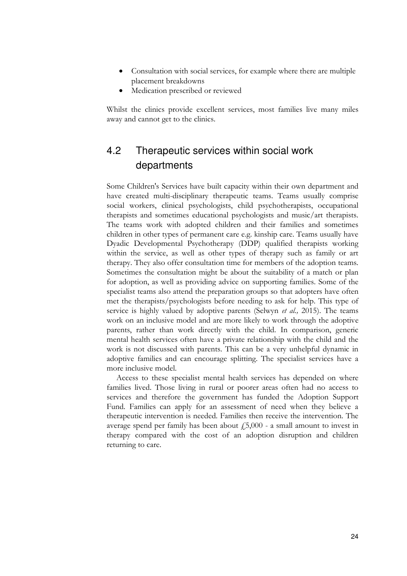- Consultation with social services, for example where there are multiple placement breakdowns
- Medication prescribed or reviewed

Whilst the clinics provide excellent services, most families live many miles away and cannot get to the clinics.

# <span id="page-29-0"></span>4.2 Therapeutic services within social work departments

Some Children's Services have built capacity within their own department and have created multi-disciplinary therapeutic teams. Teams usually comprise social workers, clinical psychologists, child psychotherapists, occupational therapists and sometimes educational psychologists and music/art therapists. The teams work with adopted children and their families and sometimes children in other types of permanent care e.g. kinship care. Teams usually have Dyadic Developmental Psychotherapy (DDP) qualified therapists working within the service, as well as other types of therapy such as family or art therapy. They also offer consultation time for members of the adoption teams. Sometimes the consultation might be about the suitability of a match or plan for adoption, as well as providing advice on supporting families. Some of the specialist teams also attend the preparation groups so that adopters have often met the therapists/psychologists before needing to ask for help. This type of service is highly valued by adoptive parents (Selwyn *et al.,* 2015). The teams work on an inclusive model and are more likely to work through the adoptive parents, rather than work directly with the child. In comparison, generic mental health services often have a private relationship with the child and the work is not discussed with parents. This can be a very unhelpful dynamic in adoptive families and can encourage splitting. The specialist services have a more inclusive model.

Access to these specialist mental health services has depended on where families lived. Those living in rural or poorer areas often had no access to services and therefore the government has funded the Adoption Support Fund. Families can apply for an assessment of need when they believe a therapeutic intervention is needed. Families then receive the intervention. The average spend per family has been about  $f_1$ 5,000 - a small amount to invest in therapy compared with the cost of an adoption disruption and children returning to care.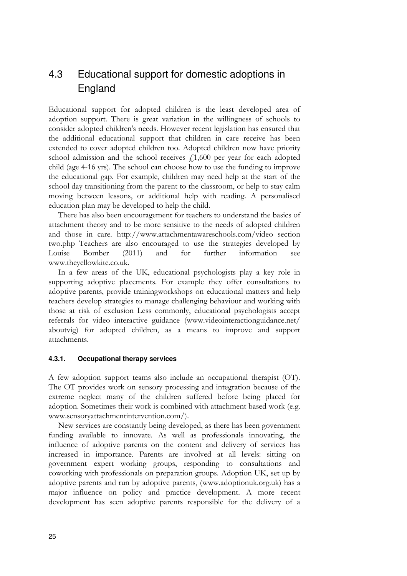# <span id="page-30-0"></span>4.3 Educational support for domestic adoptions in England

Educational support for adopted children is the least developed area of adoption support. There is great variation in the willingness of schools to consider adopted children's needs. However recent legislation has ensured that the additional educational support that children in care receive has been extended to cover adopted children too. Adopted children now have priority school admission and the school receives  $f<sub>1</sub>1,600$  per year for each adopted child (age 4-16 yrs). The school can choose how to use the funding to improve the educational gap. For example, children may need help at the start of the school day transitioning from the parent to the classroom, or help to stay calm moving between lessons, or additional help with reading. A personalised education plan may be developed to help the child.

There has also been encouragement for teachers to understand the basics of attachment theory and to be more sensitive to the needs of adopted children and those in care. http://www.attachmentawareschools.com/video section two.php Teachers are also encouraged to use the strategies developed by Louise Bomber (2011) and for further information see www.theyellowkite.co.uk.

In a few areas of the UK, educational psychologists play a key role in supporting adoptive placements. For example they offer consultations to adoptive parents, provide trainingworkshops on educational matters and help teachers develop strategies to manage challenging behaviour and working with those at risk of exclusion Less commonly, educational psychologists accept referrals for video interactive guidance [\(www.videointeractionguidance.net/](http://www.videointeractionguidance.net/)  aboutvig) for adopted children, as a means to improve and support attachments.

#### **4.3.1. Occupational therapy services**

A few adoption support teams also include an occupational therapist (OT). The OT provides work on sensory processing and integration because of the extreme neglect many of the children suffered before being placed for adoption. Sometimes their work is combined with attachment based work (e.g. www.sensoryattachmentintervention.com/).

New services are constantly being developed, as there has been government funding available to innovate. As well as professionals innovating, the influence of adoptive parents on the content and delivery of services has increased in importance. Parents are involved at all levels: sitting on government expert working groups, responding to consultations and coworking with professionals on preparation groups. Adoption UK, set up by adoptive parents and run by adoptive parents, (www.adoptionuk.org.uk) has a major influence on policy and practice development. A more recent development has seen adoptive parents responsible for the delivery of a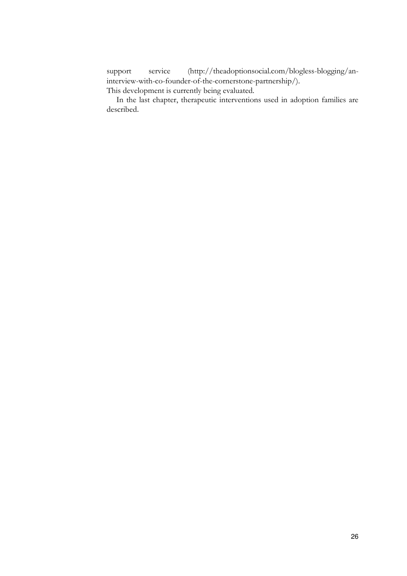support service (http://theadoptionsocial.com/blogless-blogging/aninterview-with-co-founder-of-the-cornerstone-partnership/). This development is currently being evaluated.

In the last chapter, therapeutic interventions used in adoption families are described.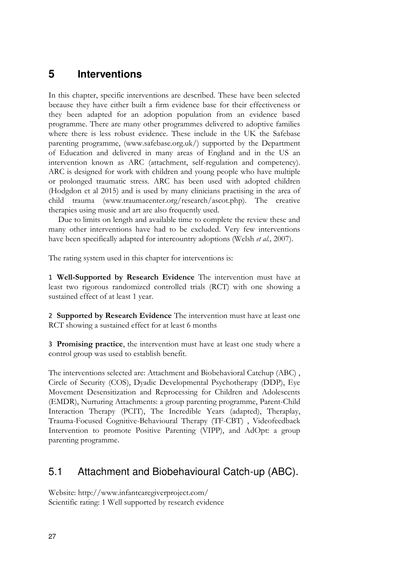# <span id="page-32-0"></span>**5 Interventions**

In this chapter, specific interventions are described. These have been selected because they have either built a firm evidence base for their effectiveness or they been adapted for an adoption population from an evidence based programme. There are many other programmes delivered to adoptive families where there is less robust evidence. These include in the UK the Safebase parenting programme, (www.safebase.org.uk/) supported by the Department of Education and delivered in many areas of England and in the US an intervention known as ARC (attachment, self-regulation and competency). ARC is designed for work with children and young people who have multiple or prolonged traumatic stress. ARC has been used with adopted children (Hodgdon et al 2015) and is used by many clinicians practising in the area of child trauma (www.traumacenter.org/research/ascot.php). The creative therapies using music and art are also frequently used.

Due to limits on length and available time to complete the review these and many other interventions have had to be excluded. Very few interventions have been specifically adapted for intercountry adoptions (Welsh *et al.,* 2007).

The rating system used in this chapter for interventions is:

1 **Well-Supported by Research Evidence** The intervention must have at least two rigorous randomized controlled trials (RCT) with one showing a sustained effect of at least 1 year.

2 **Supported by Research Evidence** The intervention must have at least one RCT showing a sustained effect for at least 6 months

3 **Promising practice**, the intervention must have at least one study where a control group was used to establish benefit.

The interventions selected are: Attachment and Biobehavioral Catchup (ABC) , Circle of Security (COS), Dyadic Developmental Psychotherapy (DDP), Eye Movement Desensitization and Reprocessing for Children and Adolescents (EMDR), Nurturing Attachments: a group parenting programme, Parent-Child Interaction Therapy (PCIT), The Incredible Years (adapted), Theraplay, Trauma-Focused Cognitive-Behavioural Therapy (TF-CBT) , Videofeedback Intervention to promote Positive Parenting (VIPP), and AdOpt: a group parenting programme.

# <span id="page-32-1"></span>5.1 Attachment and Biobehavioural Catch-up (ABC).

Website: http://www.infantcaregiverproject.com/ Scientific rating: 1 Well supported by research evidence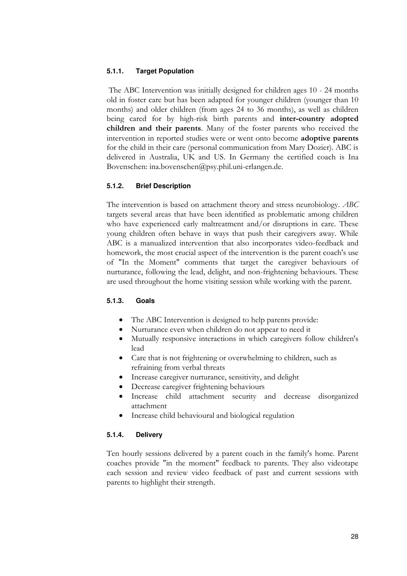#### **5.1.1. Target Population**

 The ABC Intervention was initially designed for children ages 10 - 24 months old in foster care but has been adapted for younger children (younger than 10 months) and older children (from ages 24 to 36 months), as well as children being cared for by high-risk birth parents and **inter-country adopted children and their parents**. Many of the foster parents who received the intervention in reported studies were or went onto become **adoptive parents**  for the child in their care (personal communication from Mary Dozier). ABC is delivered in Australia, UK and US. In Germany the certified coach is Ina Bovenschen: ina.bovenschen@psy.phil.uni-erlangen.de.

#### **5.1.2. Brief Description**

The intervention is based on attachment theory and stress neurobiology. *ABC* targets several areas that have been identified as problematic among children who have experienced early maltreatment and/or disruptions in care. These young children often behave in ways that push their caregivers away. While ABC is a manualized intervention that also incorporates video-feedback and homework, the most crucial aspect of the intervention is the parent coach's use of "In the Moment" comments that target the caregiver behaviours of nurturance, following the lead, delight, and non-frightening behaviours. These are used throughout the home visiting session while working with the parent.

#### **5.1.3. Goals**

- The ABC Intervention is designed to help parents provide:
- Nurturance even when children do not appear to need it
- Mutually responsive interactions in which caregivers follow children's lead
- Care that is not frightening or overwhelming to children, such as refraining from verbal threats
- Increase caregiver nurturance, sensitivity, and delight
- Decrease caregiver frightening behaviours
- Increase child attachment security and decrease disorganized attachment
- Increase child behavioural and biological regulation

#### **5.1.4. Delivery**

Ten hourly sessions delivered by a parent coach in the family's home. Parent coaches provide "in the moment" feedback to parents. They also videotape each session and review video feedback of past and current sessions with parents to highlight their strength.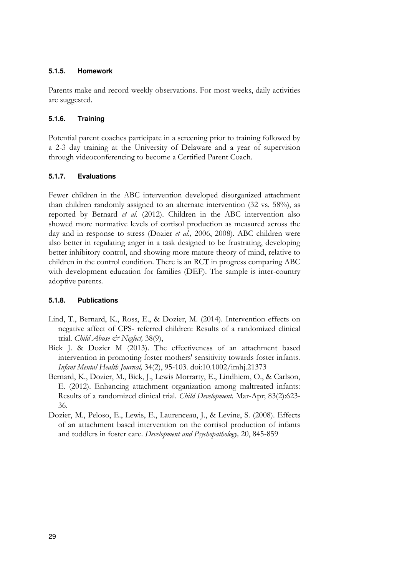### **5.1.5. Homework**

Parents make and record weekly observations. For most weeks, daily activities are suggested.

# **5.1.6. Training**

Potential parent coaches participate in a screening prior to training followed by a 2-3 day training at the University of Delaware and a year of supervision through videoconferencing to become a Certified Parent Coach.

# **5.1.7. Evaluations**

Fewer children in the ABC intervention developed disorganized attachment than children randomly assigned to an alternate intervention (32 vs. 58%), as reported by Bernard *et al.* (2012). Children in the ABC intervention also showed more normative levels of cortisol production as measured across the day and in response to stress (Dozier *et al.,* 2006, 2008). ABC children were also better in regulating anger in a task designed to be frustrating, developing better inhibitory control, and showing more mature theory of mind, relative to children in the control condition. There is an RCT in progress comparing ABC with development education for families (DEF). The sample is inter-country adoptive parents.

# **5.1.8. Publications**

- Lind, T., Bernard, K., Ross, E., & Dozier, M. (2014). Intervention effects on negative affect of CPS- referred children: Results of a randomized clinical trial. *Child Abuse & Neglect,* 38(9),
- Bick J. & Dozier M (2013). The effectiveness of an attachment based intervention in promoting foster mothers' sensitivity towards foster infants. *Infant Mental Health Journal,* 34(2), 95-103. doi:10.1002/imhj.21373
- Bernard, K., Dozier, M., Bick, J., Lewis Morrarty, E., Lindhiem, O., & Carlson, E. (2012). Enhancing attachment organization among maltreated infants: Results of a randomized clinical trial. *Child Development.* Mar-Apr; 83(2):623- 36.
- Dozier, M., Peloso, E., Lewis, E., Laurenceau, J., & Levine, S. (2008). Effects of an attachment based intervention on the cortisol production of infants and toddlers in foster care. *Development and Psychopathology,* 20, 845-859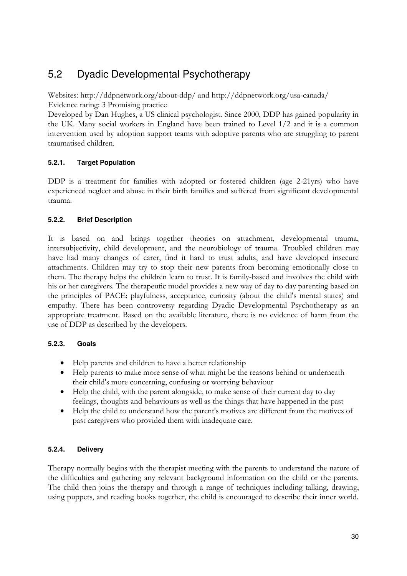# <span id="page-35-0"></span>5.2 Dyadic Developmental Psychotherapy

Websites: http://ddpnetwork.org/about-ddp/ and http://ddpnetwork.org/usa-canada/ Evidence rating: 3 Promising practice

Developed by Dan Hughes, a US clinical psychologist. Since 2000, DDP has gained popularity in the UK. Many social workers in England have been trained to Level 1/2 and it is a common intervention used by adoption support teams with adoptive parents who are struggling to parent traumatised children.

# **5.2.1. Target Population**

DDP is a treatment for families with adopted or fostered children (age 2-21yrs) who have experienced neglect and abuse in their birth families and suffered from significant developmental trauma.

# **5.2.2. Brief Description**

It is based on and brings together theories on attachment, developmental trauma, intersubjectivity, child development, and the neurobiology of trauma. Troubled children may have had many changes of carer, find it hard to trust adults, and have developed insecure attachments. Children may try to stop their new parents from becoming emotionally close to them. The therapy helps the children learn to trust. It is family-based and involves the child with his or her caregivers. The therapeutic model provides a new way of day to day parenting based on the principles of PACE: playfulness, acceptance, curiosity (about the child's mental states) and empathy. There has been controversy regarding Dyadic Developmental Psychotherapy as an appropriate treatment. Based on the available literature, there is no evidence of harm from the use of DDP as described by the developers.

# **5.2.3. Goals**

- Help parents and children to have a better relationship
- Help parents to make more sense of what might be the reasons behind or underneath their child's more concerning, confusing or worrying behaviour
- Help the child, with the parent alongside, to make sense of their current day to day feelings, thoughts and behaviours as well as the things that have happened in the past
- Help the child to understand how the parent's motives are different from the motives of past caregivers who provided them with inadequate care.

# **5.2.4. Delivery**

Therapy normally begins with the therapist meeting with the parents to understand the nature of the difficulties and gathering any relevant background information on the child or the parents. The child then joins the therapy and through a range of techniques including talking, drawing, using puppets, and reading books together, the child is encouraged to describe their inner world.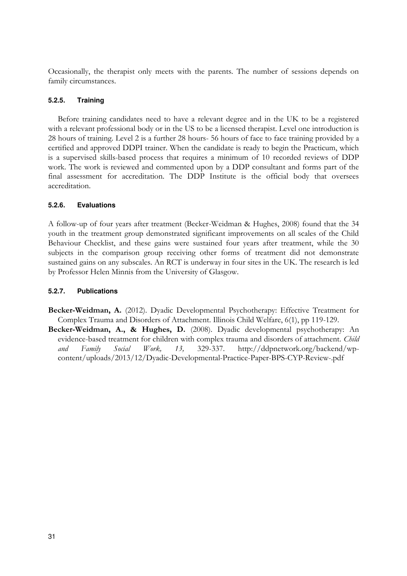Occasionally, the therapist only meets with the parents. The number of sessions depends on family circumstances.

# **5.2.5. Training**

Before training candidates need to have a relevant degree and in the UK to be a registered with a relevant professional body or in the US to be a licensed therapist. Level one introduction is 28 hours of training. Level 2 is a further 28 hours- 56 hours of face to face training provided by a certified and approved DDPI trainer. When the candidate is ready to begin the Practicum, which is a supervised skills-based process that requires a minimum of 10 recorded reviews of DDP work. The work is reviewed and commented upon by a DDP consultant and forms part of the final assessment for accreditation. The DDP Institute is the official body that oversees accreditation.

# **5.2.6. Evaluations**

A follow-up of four years after treatment (Becker-Weidman & Hughes, 2008) found that the 34 youth in the treatment group demonstrated significant improvements on all scales of the Child Behaviour Checklist, and these gains were sustained four years after treatment, while the 30 subjects in the comparison group receiving other forms of treatment did not demonstrate sustained gains on any subscales. An RCT is underway in four sites in the UK. The research is led by Professor Helen Minnis from the University of Glasgow.

# **5.2.7. Publications**

- **Becker-Weidman, A.** (2012). Dyadic Developmental Psychotherapy: Effective Treatment for Complex Trauma and Disorders of Attachment. Illinois Child Welfare, 6(1), pp 119-129.
- **Becker-Weidman, A., & Hughes, D.** (2008). Dyadic developmental psychotherapy: An evidence-based treatment for children with complex trauma and disorders of attachment. *Child and Family Social Work, 13,* 329-337. [http://ddpnetwork.org/backend/wp](http://ddpnetwork.org/backend/wp-content/uploads/2013/12/Dyadic-Developmental-Practice-Paper-BPS-CYP-Review-.pdf)[content/uploads/2013/12/Dyadic-Developmental-Practice-Paper-BPS-CYP-Review-.pdf](http://ddpnetwork.org/backend/wp-content/uploads/2013/12/Dyadic-Developmental-Practice-Paper-BPS-CYP-Review-.pdf)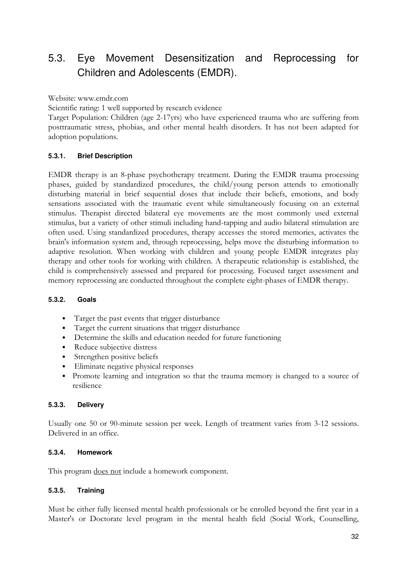# 5.3. Eye Movement Desensitization and Reprocessing for Children and Adolescents (EMDR).

Website: www.emdr.com

Scientific rating: 1 well supported by research evidence

Target Population: Children (age 2-17yrs) who have experienced trauma who are suffering from posttraumatic stress, phobias, and other mental health disorders. It has not been adapted for adoption populations.

# **5.3.1. Brief Description**

EMDR therapy is an 8-phase psychotherapy treatment. During the EMDR trauma processing phases, guided by standardized procedures, the child/young person attends to emotionally disturbing material in brief sequential doses that include their beliefs, emotions, and body sensations associated with the traumatic event while simultaneously focusing on an external stimulus. Therapist directed bilateral eye movements are the most commonly used external stimulus, but a variety of other stimuli including hand-tapping and audio bilateral stimulation are often used. Using standardized procedures, therapy accesses the stored memories, activates the brain's information system and, through reprocessing, helps move the disturbing information to adaptive resolution. When working with children and young people EMDR integrates play therapy and other tools for working with children. A therapeutic relationship is established, the child is comprehensively assessed and prepared for processing. Focused target assessment and memory reprocessing are conducted throughout the complete eight-phases of EMDR therapy.

#### **5.3.2. Goals**

- Target the past events that trigger disturbance
- Target the current situations that trigger disturbance
- Determine the skills and education needed for future functioning
- Reduce subjective distress
- Strengthen positive beliefs
- Eliminate negative physical responses
- Promote learning and integration so that the trauma memory is changed to a source of resilience

#### **5.3.3. Delivery**

Usually one 50 or 90-minute session per week. Length of treatment varies from 3-12 sessions. Delivered in an office.

#### **5.3.4. Homework**

This program does not include a homework component.

#### **5.3.5. Training**

Must be either fully licensed mental health professionals or be enrolled beyond the first year in a Master's or Doctorate level program in the mental health field (Social Work, Counselling,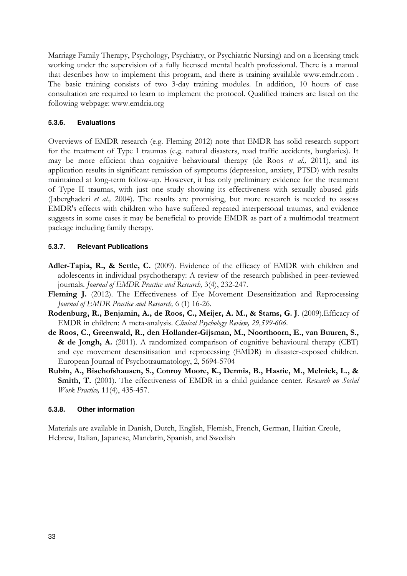Marriage Family Therapy, Psychology, Psychiatry, or Psychiatric Nursing) and on a licensing track working under the supervision of a fully licensed mental health professional. There is a manual that describes how to implement this program, and there is training available www.emdr.com . The basic training consists of two 3-day training modules. In addition, 10 hours of case consultation are required to learn to implement the protocol. Qualified trainers are listed on the following webpage: www.emdria.org

# **5.3.6. Evaluations**

Overviews of EMDR research (e.g. Fleming 2012) note that EMDR has solid research support for the treatment of Type I traumas (e.g. natural disasters, road traffic accidents, burglaries). It may be more efficient than cognitive behavioural therapy (de Roos *et al.,* 2011), and its application results in significant remission of symptoms (depression, anxiety, PTSD) with results maintained at long-term follow-up. However, it has only preliminary evidence for the treatment of Type II traumas, with just one study showing its effectiveness with sexually abused girls (Jaberghaderi *et al.,* 2004). The results are promising, but more research is needed to assess EMDR's effects with children who have suffered repeated interpersonal traumas, and evidence suggests in some cases it may be beneficial to provide EMDR as part of a multimodal treatment package including family therapy.

# **5.3.7. Relevant Publications**

- **Adler-Tapia, R., & Settle, C.** (2009). Evidence of the efficacy of EMDR with children and adolescents in individual psychotherapy: A review of the research published in peer-reviewed journals. *Journal of EMDR Practice and Research,* 3(4), 232-247.
- Fleming J. (2012). The Effectiveness of Eye Movement Desensitization and Reprocessing *Journal of EMDR Practice and Research,* 6 (1) 16-26.
- **Rodenburg, R., Benjamin, A., de Roos, C., Meijer, A. M., & Stams, G. J**. (2009).Efficacy of EMDR in children: A meta-analysis. *Clinical Psychology Review, 29,599-606.*
- **de Roos, C., Greenwald, R., den Hollander-Gijsman, M., Noorthoorn, E., van Buuren, S., & de Jongh, A.** (2011). A randomized comparison of cognitive behavioural therapy (CBT) and eye movement desensitisation and reprocessing (EMDR) in disaster-exposed children. European Journal of Psychotraumatology, 2, 5694-5704
- **Rubin, A., Bischofshausen, S., Conroy Moore, K., Dennis, B., Hastie, M., Melnick, L., & Smith, T.** (2001). The effectiveness of EMDR in a child guidance center. *Research on Social Work Practice,* 11(4), 435-457.

# **5.3.8. Other information**

Materials are available in Danish, Dutch, English, Flemish, French, German, Haitian Creole, Hebrew, Italian, Japanese, Mandarin, Spanish, and Swedish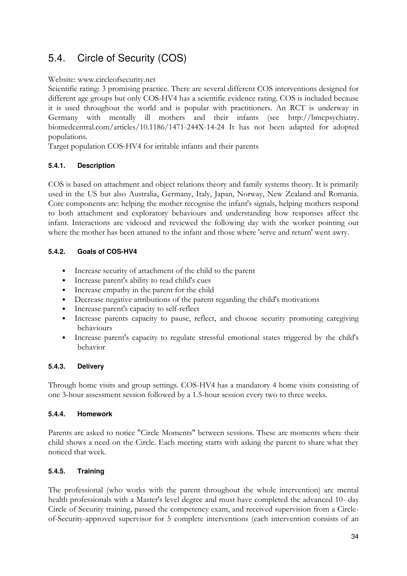# <span id="page-39-0"></span>5.4. Circle of Security (COS)

# Website: www.circleofsecurity.net

Scientific rating: 3 promising practice. There are several different COS interventions designed for different age groups but only COS-HV4 has a scientific evidence rating. COS is included because it is used throughout the world and is popular with practitioners. An RCT is underway in Germany with mentally ill mothers and their infants (see [http://bmcpsychiatry.](http://bmcpsychiatry/) biomedcentral.com/articles/10.1186/1471-244X-14-24 It has not been adapted for adopted populations.

Target population COS-HV4 for irritable infants and their parents

# **5.4.1. Description**

COS is based on attachment and object relations theory and family systems theory. It is primarily used in the US but also Australia, Germany, Italy, Japan, Norway, New Zealand and Romania. Core components are: helping the mother recognise the infant's signals, helping mothers respond to both attachment and exploratory behaviours and understanding how responses affect the infant. Interactions are videoed and reviewed the following day with the worker pointing out where the mother has been attuned to the infant and those where 'serve and return' went awry.

# **5.4.2. Goals of COS-HV4**

- Increase security of attachment of the child to the parent
- Increase parent's ability to read child's cues
- Increase empathy in the parent for the child
- Decrease negative attributions of the parent regarding the child's motivations
- Increase parent's capacity to self-reflect
- Increase parents capacity to pause, reflect, and choose security promoting caregiving behaviours
- Increase parent's capacity to regulate stressful emotional states triggered by the child's behavior

# **5.4.3. Delivery**

Through home visits and group settings. COS-HV4 has a mandatory 4 home visits consisting of one 3-hour assessment session followed by a 1.5-hour session every two to three weeks.

# **5.4.4. Homework**

Parents are asked to notice "Circle Moments" between sessions. These are moments where their child shows a need on the Circle. Each meeting starts with asking the parent to share what they noticed that week.

# **5.4.5. Training**

The professional (who works with the parent throughout the whole intervention) are mental health professionals with a Master's level degree and must have completed the advanced 10- day Circle of Security training, passed the competency exam, and received supervision from a Circleof-Security-approved supervisor for 5 complete interventions (each intervention consists of an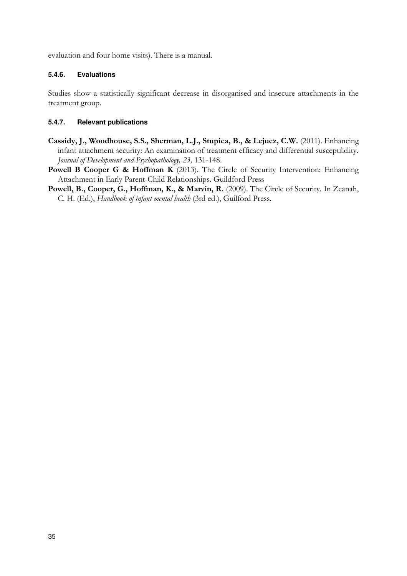evaluation and four home visits). There is a manual.

# **5.4.6. Evaluations**

Studies show a statistically significant decrease in disorganised and insecure attachments in the treatment group.

# **5.4.7. Relevant publications**

- **Cassidy, J., Woodhouse, S.S., Sherman, L.J., Stupica, B., & Lejuez, C.W.** (2011). Enhancing infant attachment security: An examination of treatment efficacy and differential susceptibility. *Journal of Development and Psychopathology, 23,* 131-148.
- **Powell B Cooper G & Hoffman K** (2013). The Circle of Security Intervention: Enhancing Attachment in Early Parent-Child Relationships. Guildford Press
- **Powell, B., Cooper, G., Hoffman, K., & Marvin, R.** (2009). The Circle of Security. In Zeanah, C. H. (Ed.), *Handbook of infant mental health* (3rd ed.), Guilford Press.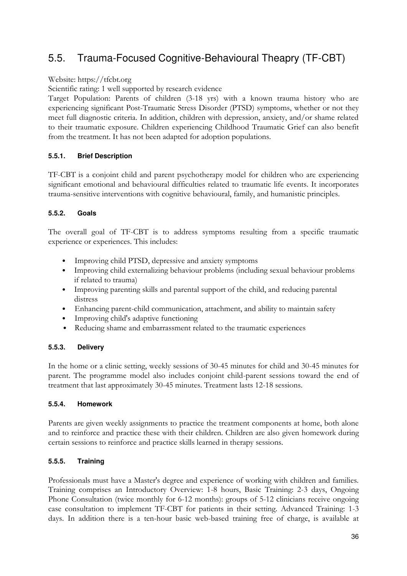# <span id="page-41-0"></span>5.5. Trauma-Focused Cognitive-Behavioural Theapry (TF-CBT)

# Website: https://tfcbt.org

Scientific rating: 1 well supported by research evidence

Target Population: Parents of children (3-18 yrs) with a known trauma history who are experiencing significant Post-Traumatic Stress Disorder (PTSD) symptoms, whether or not they meet full diagnostic criteria. In addition, children with depression, anxiety, and/or shame related to their traumatic exposure. Children experiencing Childhood Traumatic Grief can also benefit from the treatment. It has not been adapted for adoption populations.

# **5.5.1. Brief Description**

TF-CBT is a conjoint child and parent psychotherapy model for children who are experiencing significant emotional and behavioural difficulties related to traumatic life events. It incorporates trauma-sensitive interventions with cognitive behavioural, family, and humanistic principles.

# **5.5.2. Goals**

The overall goal of TF-CBT is to address symptoms resulting from a specific traumatic experience or experiences. This includes:

- Improving child PTSD, depressive and anxiety symptoms
- Improving child externalizing behaviour problems (including sexual behaviour problems if related to trauma)
- Improving parenting skills and parental support of the child, and reducing parental distress
- Enhancing parent-child communication, attachment, and ability to maintain safety
- Improving child's adaptive functioning
- Reducing shame and embarrassment related to the traumatic experiences

# **5.5.3. Delivery**

In the home or a clinic setting, weekly sessions of 30-45 minutes for child and 30-45 minutes for parent. The programme model also includes conjoint child-parent sessions toward the end of treatment that last approximately 30-45 minutes. Treatment lasts 12-18 sessions.

# **5.5.4. Homework**

Parents are given weekly assignments to practice the treatment components at home, both alone and to reinforce and practice these with their children. Children are also given homework during certain sessions to reinforce and practice skills learned in therapy sessions.

# **5.5.5. Training**

Professionals must have a Master's degree and experience of working with children and families. Training comprises an Introductory Overview: 1-8 hours, Basic Training: 2-3 days, Ongoing Phone Consultation (twice monthly for 6-12 months): groups of 5-12 clinicians receive ongoing case consultation to implement TF-CBT for patients in their setting. Advanced Training: 1-3 days. In addition there is a ten-hour basic web-based training free of charge, is available at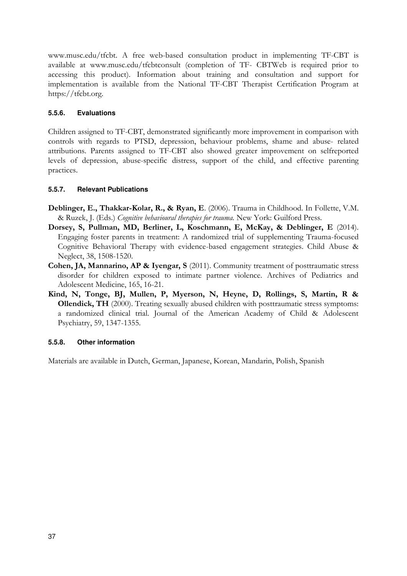www.musc.edu/tfcbt. A free web-based consultation product in implementing TF-CBT is available at www.musc.edu/tfcbtconsult (completion of TF- CBTWeb is required prior to accessing this product). Information about training and consultation and support for implementation is available from the National TF-CBT Therapist Certification Program at https://tfcbt.org.

# **5.5.6. Evaluations**

Children assigned to TF-CBT, demonstrated significantly more improvement in comparison with controls with regards to PTSD, depression, behaviour problems, shame and abuse- related attributions. Parents assigned to TF-CBT also showed greater improvement on selfreported levels of depression, abuse-specific distress, support of the child, and effective parenting practices.

# **5.5.7. Relevant Publications**

- **Deblinger, E., Thakkar-Kolar, R., & Ryan, E**. (2006). Trauma in Childhood. In Follette, V.M. & Ruzek, J. (Eds.) *Cognitive behavioural therapies for trauma.* New York: Guilford Press.
- **Dorsey, S, Pullman, MD, Berliner, L, Koschmann, E, McKay, & Deblinger, E** (2014). Engaging foster parents in treatment: A randomized trial of supplementing Trauma-focused Cognitive Behavioral Therapy with evidence-based engagement strategies. Child Abuse & Neglect, 38, 1508-1520.
- **Cohen, JA, Mannarino, AP & Iyengar, S** (2011). Community treatment of posttraumatic stress disorder for children exposed to intimate partner violence. Archives of Pediatrics and Adolescent Medicine, 165, 16-21.
- **Kind, N, Tonge, BJ, Mullen, P, Myerson, N, Heyne, D, Rollings, S, Martin, R & Ollendick, TH** (2000). Treating sexually abused children with posttraumatic stress symptoms: a randomized clinical trial. Journal of the American Academy of Child & Adolescent Psychiatry, 59, 1347-1355.

# **5.5.8. Other information**

Materials are available in Dutch, German, Japanese, Korean, Mandarin, Polish, Spanish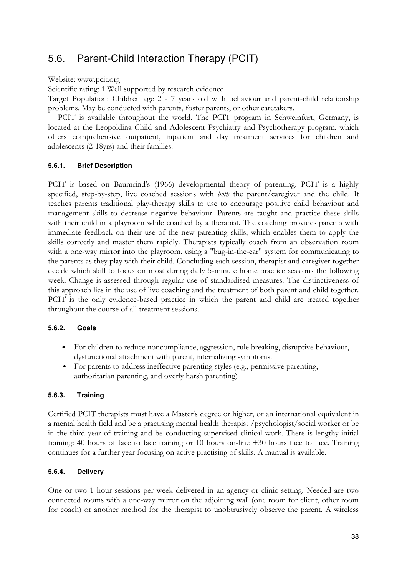# <span id="page-43-0"></span>5.6. Parent-Child Interaction Therapy (PCIT)

# Website: www.pcit.org

Scientific rating: 1 Well supported by research evidence

Target Population: Children age 2 - 7 years old with behaviour and parent-child relationship problems. May be conducted with parents, foster parents, or other caretakers.

PCIT is available throughout the world. The PCIT program in Schweinfurt, Germany, is located at the Leopoldina Child and Adolescent Psychiatry and Psychotherapy program, which offers comprehensive outpatient, inpatient and day treatment services for children and adolescents (2-18yrs) and their families.

# **5.6.1. Brief Description**

PCIT is based on Baumrind's (1966) developmental theory of parenting. PCIT is a highly specified, step-by-step, live coached sessions with *both* the parent/caregiver and the child. It teaches parents traditional play-therapy skills to use to encourage positive child behaviour and management skills to decrease negative behaviour. Parents are taught and practice these skills with their child in a playroom while coached by a therapist. The coaching provides parents with immediate feedback on their use of the new parenting skills, which enables them to apply the skills correctly and master them rapidly. Therapists typically coach from an observation room with a one-way mirror into the playroom, using a "bug-in-the-ear" system for communicating to the parents as they play with their child. Concluding each session, therapist and caregiver together decide which skill to focus on most during daily 5-minute home practice sessions the following week. Change is assessed through regular use of standardised measures. The distinctiveness of this approach lies in the use of live coaching and the treatment of both parent and child together. PCIT is the only evidence-based practice in which the parent and child are treated together throughout the course of all treatment sessions.

# **5.6.2. Goals**

- For children to reduce noncompliance, aggression, rule breaking, disruptive behaviour, dysfunctional attachment with parent, internalizing symptoms.
- For parents to address ineffective parenting styles (e.g., permissive parenting, authoritarian parenting, and overly harsh parenting)

# **5.6.3. Training**

Certified PCIT therapists must have a Master's degree or higher, or an international equivalent in a mental health field and be a practising mental health therapist /psychologist/social worker or be in the third year of training and be conducting supervised clinical work. There is lengthy initial training: 40 hours of face to face training or 10 hours on-line +30 hours face to face. Training continues for a further year focusing on active practising of skills. A manual is available.

# **5.6.4. Delivery**

One or two 1 hour sessions per week delivered in an agency or clinic setting. Needed are two connected rooms with a one-way mirror on the adjoining wall (one room for client, other room for coach) or another method for the therapist to unobtrusively observe the parent. A wireless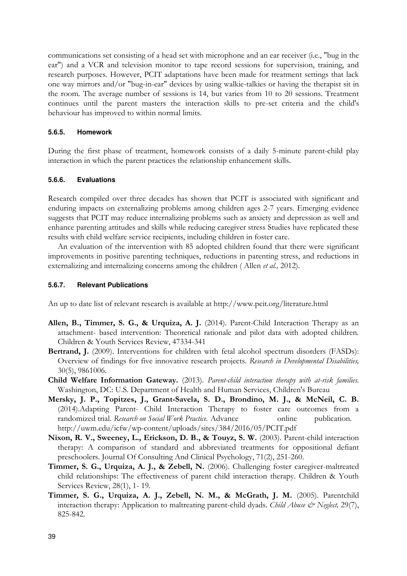communications set consisting of a head set with microphone and an ear receiver (i.e., "bug in the ear") and a VCR and television monitor to tape record sessions for supervision, training, and research purposes. However, PCIT adaptations have been made for treatment settings that lack one way mirrors and/or "bug-in-ear" devices by using walkie-talkies or having the therapist sit in the room. The average number of sessions is 14, but varies from 10 to 20 sessions. Treatment continues until the parent masters the interaction skills to pre-set criteria and the child's behaviour has improved to within normal limits.

#### **5.6.5. Homework**

During the first phase of treatment, homework consists of a daily 5-minute parent-child play interaction in which the parent practices the relationship enhancement skills.

# **5.6.6. Evaluations**

Research compiled over three decades has shown that PCIT is associated with significant and enduring impacts on externalizing problems among children ages 2-7 years. Emerging evidence suggests that PCIT may reduce internalizing problems such as anxiety and depression as well and enhance parenting attitudes and skills while reducing caregiver stress Studies have replicated these results with child welfare service recipients, including children in foster care.

An evaluation of the intervention with 85 adopted children found that there were significant improvements in positive parenting techniques, reductions in parenting stress, and reductions in externalizing and internalizing concerns among the children ( Allen *et al.,* 2012).

#### **5.6.7. Relevant Publications**

An up to date list of relevant research is available at http://www.pcit.org/literature.html

- **Allen, B., Timmer, S. G., & Urquiza, A. J.** (2014). Parent-Child Interaction Therapy as an attachment- based intervention: Theoretical rationale and pilot data with adopted children. Children & Youth Services Review, 47334-341
- **Bertrand, J.** (2009). Interventions for children with fetal alcohol spectrum disorders (FASDs): Overview of findings for five innovative research projects. *Research in Developmental Disabilities,* 30(5), 9861006.
- **Child Welfare Information Gateway.** (2013). *Parent-child interaction therapy with at-risk families.*  Washington, DC: U.S. Department of Health and Human Services, Children's Bureau
- **Mersky, J. P., Topitzes, J., Grant-Savela, S. D., Brondino, M. J., & McNeil, C. B.**  (2014).Adapting Parent- Child Interaction Therapy to foster care outcomes from a randomized trial. *Research on Social Work Practice*. Advance online publication. http://uwm.edu/icfw/wp-content/uploads/sites/384/2016/05/PCIT.pdf
- **Nixon, R. V., Sweeney, L., Erickson, D. B., & Touyz, S. W.** (2003). Parent-child interaction therapy: A comparison of standard and abbreviated treatments for oppositional defiant preschoolers. Journal Of Consulting And Clinical Psychology, 71(2), 251-260.
- **Timmer, S. G., Urquiza, A. J., & Zebell, N.** (2006). Challenging foster caregiver-maltreated child relationships: The effectiveness of parent child interaction therapy. Children & Youth Services Review, 28(1), 1- 19.
- **Timmer, S. G., Urquiza, A. J., Zebell, N. M., & McGrath, J. M.** (2005). Parentchild interaction therapy: Application to maltreating parent-child dyads. *Child Abuse & Neglect*, 29(7), 825-842.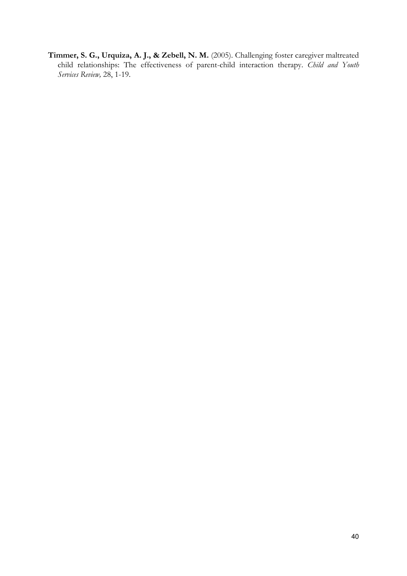**Timmer, S. G., Urquiza, A. J., & Zebell, N. M.** (2005). Challenging foster caregiver maltreated child relationships: The effectiveness of parent-child interaction therapy. *Child and Youth Services Review,* 28, 1-19.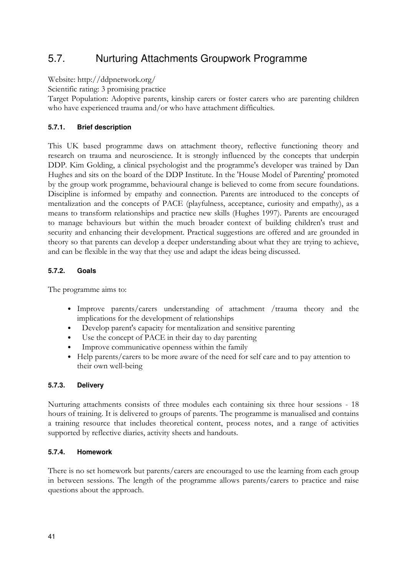# <span id="page-46-0"></span>5.7. Nurturing Attachments Groupwork Programme

Website: http://ddpnetwork.org/

Scientific rating: 3 promising practice

Target Population: Adoptive parents, kinship carers or foster carers who are parenting children who have experienced trauma and/or who have attachment difficulties.

# **5.7.1. Brief description**

This UK based programme daws on attachment theory, reflective functioning theory and research on trauma and neuroscience. It is strongly influenced by the concepts that underpin DDP. Kim Golding, a clinical psychologist and the programme's developer was trained by Dan Hughes and sits on the board of the DDP Institute. In the 'House Model of Parenting' promoted by the group work programme, behavioural change is believed to come from secure foundations. Discipline is informed by empathy and connection. Parents are introduced to the concepts of mentalization and the concepts of PACE (playfulness, acceptance, curiosity and empathy), as a means to transform relationships and practice new skills (Hughes 1997). Parents are encouraged to manage behaviours but within the much broader context of building children's trust and security and enhancing their development. Practical suggestions are offered and are grounded in theory so that parents can develop a deeper understanding about what they are trying to achieve, and can be flexible in the way that they use and adapt the ideas being discussed.

# **5.7.2. Goals**

The programme aims to:

- Improve parents/carers understanding of attachment /trauma theory and the implications for the development of relationships
- Develop parent's capacity for mentalization and sensitive parenting
- Use the concept of PACE in their day to day parenting
- Improve communicative openness within the family
- Help parents/carers to be more aware of the need for self care and to pay attention to their own well-being

# **5.7.3. Delivery**

Nurturing attachments consists of three modules each containing six three hour sessions - 18 hours of training. It is delivered to groups of parents. The programme is manualised and contains a training resource that includes theoretical content, process notes, and a range of activities supported by reflective diaries, activity sheets and handouts.

# **5.7.4. Homework**

There is no set homework but parents/carers are encouraged to use the learning from each group in between sessions. The length of the programme allows parents/carers to practice and raise questions about the approach.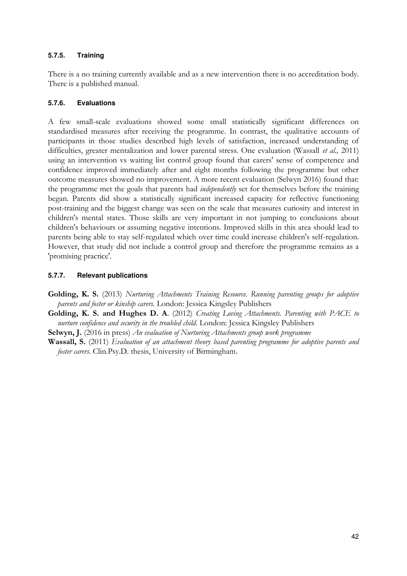# **5.7.5. Training**

There is a no training currently available and as a new intervention there is no accreditation body. There is a published manual.

# **5.7.6. Evaluations**

A few small-scale evaluations showed some small statistically significant differences on standardised measures after receiving the programme. In contrast, the qualitative accounts of participants in those studies described high levels of satisfaction, increased understanding of difficulties, greater mentalization and lower parental stress. One evaluation (Wassall *et al.,* 2011) using an intervention vs waiting list control group found that carers' sense of competence and confidence improved immediately after and eight months following the programme but other outcome measures showed no improvement. A more recent evaluation (Selwyn 2016) found that: the programme met the goals that parents had *independently* set for themselves before the training began. Parents did show a statistically significant increased capacity for reflective functioning post-training and the biggest change was seen on the scale that measures curiosity and interest in children's mental states. Those skills are very important in not jumping to conclusions about children's behaviours or assuming negative intentions. Improved skills in this area should lead to parents being able to stay self-regulated which over time could increase children's self-regulation. However, that study did not include a control group and therefore the programme remains as a 'promising practice'.

# **5.7.7. Relevant publications**

**Golding, K. S.** (2013) *Nurturing Attachments Training Resource. Running parenting groups for adoptive parents and foster or kinship carers.* London: Jessica Kingsley Publishers

**Golding, K. S. and Hughes D. A**. (2012) *Creating Loving Attachments. Parenting with PACE to nurture confidence and security in the troubled child.* London: Jessica Kingsley Publishers

**Selwyn, J.** (2016 in press) *An evaluation of Nurturing Attachments group work programme* 

**Wassall, S.** (2011) *Evaluation of an attachment theory based parenting programme for adoptive parents and foster carers.* Clin.Psy.D. thesis, University of Birmingham.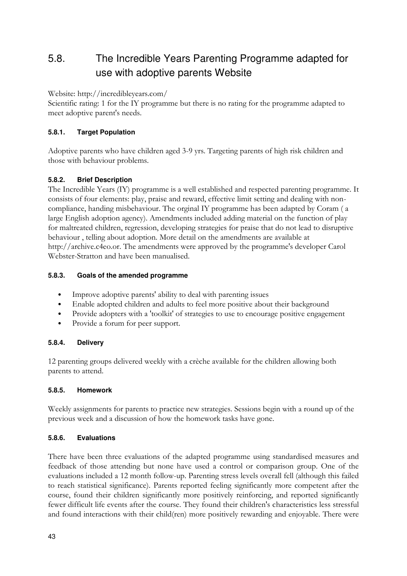# <span id="page-48-0"></span>5.8. The Incredible Years Parenting Programme adapted for use with adoptive parents Website

Website: http://incredibleyears.com/

Scientific rating: 1 for the IY programme but there is no rating for the programme adapted to meet adoptive parent's needs.

# **5.8.1. Target Population**

Adoptive parents who have children aged 3-9 yrs. Targeting parents of high risk children and those with behaviour problems.

# **5.8.2. Brief Description**

The Incredible Years (IY) programme is a well established and respected parenting programme. It consists of four elements: play, praise and reward, effective limit setting and dealing with noncompliance, handing misbehaviour. The orginal IY programme has been adapted by Coram ( a large English adoption agency). Amendments included adding material on the function of play for maltreated children, regression, developing strategies for praise that do not lead to disruptive behaviour , telling about adoption. More detail on the amendments are available at http://archive.c4eo.or. The amendments were approved by the programme's developer Carol Webster-Stratton and have been manualised.

# **5.8.3. Goals of the amended programme**

- Improve adoptive parents' ability to deal with parenting issues
- Enable adopted children and adults to feel more positive about their background
- Provide adopters with a 'toolkit' of strategies to use to encourage positive engagement
- Provide a forum for peer support.

# **5.8.4. Delivery**

12 parenting groups delivered weekly with a crèche available for the children allowing both parents to attend.

# **5.8.5. Homework**

Weekly assignments for parents to practice new strategies. Sessions begin with a round up of the previous week and a discussion of how the homework tasks have gone.

# **5.8.6. Evaluations**

There have been three evaluations of the adapted programme using standardised measures and feedback of those attending but none have used a control or comparison group. One of the evaluations included a 12 month follow-up. Parenting stress levels overall fell (although this failed to reach statistical significance). Parents reported feeling significantly more competent after the course, found their children significantly more positively reinforcing, and reported significantly fewer difficult life events after the course. They found their children's characteristics less stressful and found interactions with their child(ren) more positively rewarding and enjoyable. There were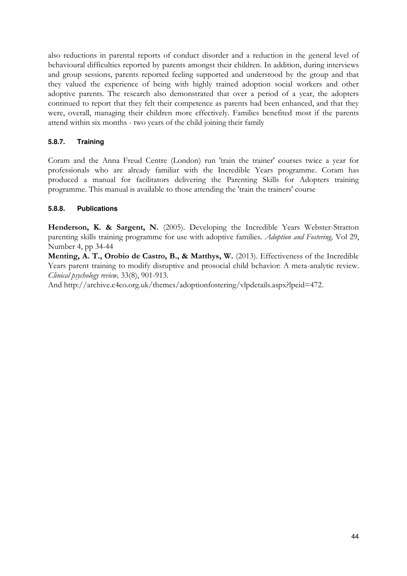also reductions in parental reports of conduct disorder and a reduction in the general level of behavioural difficulties reported by parents amongst their children. In addition, during interviews and group sessions, parents reported feeling supported and understood by the group and that they valued the experience of being with highly trained adoption social workers and other adoptive parents. The research also demonstrated that over a period of a year, the adopters continued to report that they felt their competence as parents had been enhanced, and that they were, overall, managing their children more effectively. Families benefited most if the parents attend within six months - two years of the child joining their family

# **5.8.7. Training**

Coram and the Anna Freud Centre (London) run 'train the trainer' courses twice a year for professionals who are already familiar with the Incredible Years programme. Coram has produced a manual for facilitators delivering the Parenting Skills for Adopters training programme. This manual is available to those attending the 'train the trainers' course

# **5.8.8. Publications**

**Henderson, K. & Sargent, N.** (2005). Developing the Incredible Years Webster-Stratton parenting skills training programme for use with adoptive families. *Adoption and Fostering,* Vol 29, Number 4, pp 34-44

**Menting, A. T., Orobio de Castro, B., & Matthys, W.** (2013). Effectiveness of the Incredible Years parent training to modify disruptive and prosocial child behavior: A meta-analytic review. *Clinical psychology review,* 33(8), 901-913.

And http://archive.c4eo.org.uk/themes/adoptionfostering/vlpdetails.aspx?lpeid=472.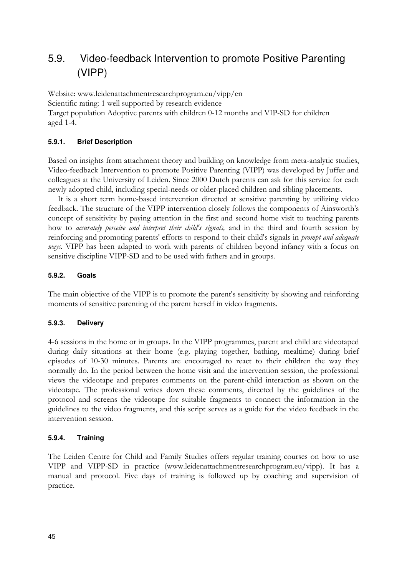# <span id="page-50-0"></span>5.9. Video-feedback Intervention to promote Positive Parenting (VIPP)

Website: www.leidenattachmentresearchprogram.eu/vipp/en Scientific rating: 1 well supported by research evidence Target population Adoptive parents with children 0-12 months and VIP-SD for children aged 1-4.

# **5.9.1. Brief Description**

Based on insights from attachment theory and building on knowledge from meta-analytic studies, Video-feedback Intervention to promote Positive Parenting (VIPP) was developed by Juffer and colleagues at the University of Leiden. Since 2000 Dutch parents can ask for this service for each newly adopted child, including special-needs or older-placed children and sibling placements.

It is a short term home-based intervention directed at sensitive parenting by utilizing video feedback. The structure of the VIPP intervention closely follows the components of Ainsworth's concept of sensitivity by paying attention in the first and second home visit to teaching parents how to *accurately perceive and interpret their child's signals,* and in the third and fourth session by reinforcing and promoting parents' efforts to respond to their child's signals in *prompt and adequate ways.* VIPP has been adapted to work with parents of children beyond infancy with a focus on sensitive discipline VIPP-SD and to be used with fathers and in groups.

# **5.9.2. Goals**

The main objective of the VIPP is to promote the parent's sensitivity by showing and reinforcing moments of sensitive parenting of the parent herself in video fragments.

# **5.9.3. Delivery**

4-6 sessions in the home or in groups. In the VIPP programmes, parent and child are videotaped during daily situations at their home (e.g. playing together, bathing, mealtime) during brief episodes of 10-30 minutes. Parents are encouraged to react to their children the way they normally do. In the period between the home visit and the intervention session, the professional views the videotape and prepares comments on the parent-child interaction as shown on the videotape. The professional writes down these comments, directed by the guidelines of the protocol and screens the videotape for suitable fragments to connect the information in the guidelines to the video fragments, and this script serves as a guide for the video feedback in the intervention session.

# **5.9.4. Training**

The Leiden Centre for Child and Family Studies offers regular training courses on how to use VIPP and VIPP-SD in practice (www.leidenattachmentresearchprogram.eu/vipp). It has a manual and protocol. Five days of training is followed up by coaching and supervision of practice.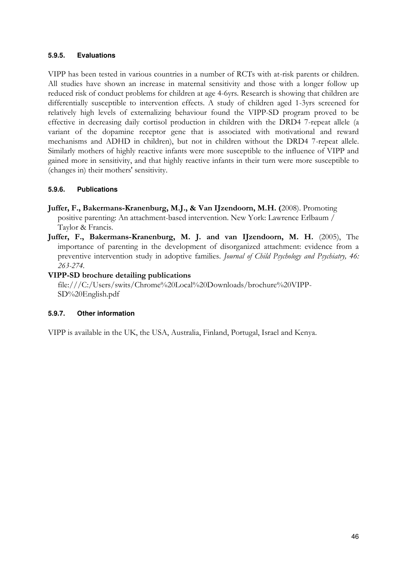### **5.9.5. Evaluations**

VIPP has been tested in various countries in a number of RCTs with at-risk parents or children. All studies have shown an increase in maternal sensitivity and those with a longer follow up reduced risk of conduct problems for children at age 4-6yrs. Research is showing that children are differentially susceptible to intervention effects. A study of children aged 1-3yrs screened for relatively high levels of externalizing behaviour found the VIPP-SD program proved to be effective in decreasing daily cortisol production in children with the DRD4 7-repeat allele (a variant of the dopamine receptor gene that is associated with motivational and reward mechanisms and ADHD in children), but not in children without the DRD4 7-repeat allele. Similarly mothers of highly reactive infants were more susceptible to the influence of VIPP and gained more in sensitivity, and that highly reactive infants in their turn were more susceptible to (changes in) their mothers' sensitivity.

#### **5.9.6. Publications**

- **Juffer, F., Bakermans-Kranenburg, M.J., & Van IJzendoorn, M.H. (**2008). Promoting positive parenting: An attachment-based intervention. New York: Lawrence Erlbaum / Taylor & Francis.
- **Juffer, F., Bakermans-Kranenburg, M. J. and van IJzendoorn, M. H.** (2005), The importance of parenting in the development of disorganized attachment: evidence from a preventive intervention study in adoptive families. *Journal of Child Psychology and Psychiatry, 46: 263-274.*

# **VIPP-SD brochure detailing publications**

[file:///C:/Users/swits/Chrome%20Local%20Downloads/brochure%20VIPP-](file:///C:/Users/swits/Chrome%20Local%20Downloads/brochure%20VIPP-SD%20English.pdf)[SD%20English.pdf](file:///C:/Users/swits/Chrome%20Local%20Downloads/brochure%20VIPP-SD%20English.pdf) 

#### **5.9.7. Other information**

VIPP is available in the UK, the USA, Australia, Finland, Portugal, Israel and Kenya.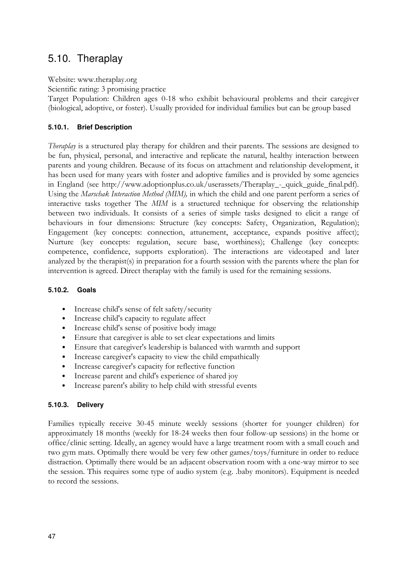# <span id="page-52-0"></span>5.10. Theraplay

Website: www.theraplay.org

Scientific rating: 3 promising practice

Target Population: Children ages 0-18 who exhibit behavioural problems and their caregiver (biological, adoptive, or foster). Usually provided for individual families but can be group based

# **5.10.1. Brief Description**

*Theraplay* is a structured play therapy for children and their parents. The sessions are designed to be fun, physical, personal, and interactive and replicate the natural, healthy interaction between parents and young children. Because of its focus on attachment and relationship development, it has been used for many years with foster and adoptive families and is provided by some agencies in England (see http://www.adoptionplus.co.uk/userassets/Theraplay\_-\_quick\_guide\_final.pdf)*.* Using the *Marschak Interaction Method (MIM),* in which the child and one parent perform a series of interactive tasks together The *MIM* is a structured technique for observing the relationship between two individuals. It consists of a series of simple tasks designed to elicit a range of behaviours in four dimensions: Structure (key concepts: Safety, Organization, Regulation); Engagement (key concepts: connection, attunement, acceptance, expands positive affect); Nurture (key concepts: regulation, secure base, worthiness); Challenge (key concepts: competence, confidence, supports exploration). The interactions are videotaped and later analyzed by the therapist(s) in preparation for a fourth session with the parents where the plan for intervention is agreed. Direct theraplay with the family is used for the remaining sessions.

# **5.10.2. Goals**

- Increase child's sense of felt safety/security
- Increase child's capacity to regulate affect
- Increase child's sense of positive body image
- Ensure that caregiver is able to set clear expectations and limits
- Ensure that caregiver's leadership is balanced with warmth and support
- Increase caregiver's capacity to view the child empathically
- Increase caregiver's capacity for reflective function
- Increase parent and child's experience of shared joy
- Increase parent's ability to help child with stressful events

# **5.10.3. Delivery**

Families typically receive 30-45 minute weekly sessions (shorter for younger children) for approximately 18 months (weekly for 18-24 weeks then four follow-up sessions) in the home or office/clinic setting. Ideally, an agency would have a large treatment room with a small couch and two gym mats. Optimally there would be very few other games/toys/furniture in order to reduce distraction. Optimally there would be an adjacent observation room with a one-way mirror to see the session. This requires some type of audio system (e.g. .baby monitors). Equipment is needed to record the sessions.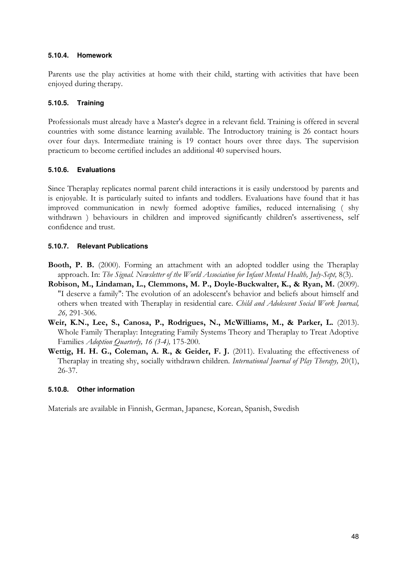### **5.10.4. Homework**

Parents use the play activities at home with their child, starting with activities that have been enjoyed during therapy.

# **5.10.5. Training**

Professionals must already have a Master's degree in a relevant field. Training is offered in several countries with some distance learning available. The Introductory training is 26 contact hours over four days. Intermediate training is 19 contact hours over three days. The supervision practicum to become certified includes an additional 40 supervised hours.

# **5.10.6. Evaluations**

Since Theraplay replicates normal parent child interactions it is easily understood by parents and is enjoyable. It is particularly suited to infants and toddlers. Evaluations have found that it has improved communication in newly formed adoptive families, reduced internalising ( shy withdrawn ) behaviours in children and improved significantly children's assertiveness, self confidence and trust.

# **5.10.7. Relevant Publications**

- **Booth, P. B.** (2000). Forming an attachment with an adopted toddler using the Theraplay approach. In: *The Signal. Newsletter of the World Association for Infant Mental Health, July-Sept,* 8(3).
- **Robison, M., Lindaman, L., Clemmons, M. P., Doyle-Buckwalter, K., & Ryan, M.** (2009). "I deserve a family": The evolution of an adolescent's behavior and beliefs about himself and others when treated with Theraplay in residential care. *Child and Adolescent Social Work Journal, 26,* 291-306.
- **Weir, K.N., Lee, S., Canosa, P., Rodrigues, N., McWilliams, M., & Parker, L.** (2013). Whole Family Theraplay: Integrating Family Systems Theory and Theraplay to Treat Adoptive Families *Adoption Quarterly, 16 (3-4),* 175-200.
- **Wettig, H. H. G., Coleman, A. R., & Geider, F. J.** (2011). Evaluating the effectiveness of Theraplay in treating shy, socially withdrawn children. *International Journal of Play Therapy,* 20(1), 26-37.

# **5.10.8. Other information**

Materials are available in Finnish, German, Japanese, Korean, Spanish, Swedish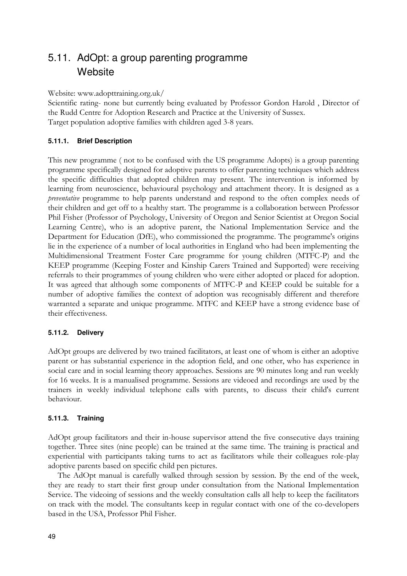# <span id="page-54-0"></span>5.11. AdOpt: a group parenting programme **Website**

Website: [www.adopttraining.org.uk/](http://www.adopttraining.org.uk/) 

Scientific rating- none but currently being evaluated by Professor Gordon Harold , Director of the Rudd Centre for Adoption Research and Practice at the University of Sussex. Target population adoptive families with children aged 3-8 years.

# **5.11.1. Brief Description**

This new programme ( not to be confused with the US programme Adopts) is a group parenting programme specifically designed for adoptive parents to offer parenting techniques which address the specific difficulties that adopted children may present. The intervention is informed by learning from neuroscience, behavioural psychology and attachment theory. It is designed as a *preventative* programme to help parents understand and respond to the often complex needs of their children and get off to a healthy start. The programme is a collaboration between Professor Phil Fisher (Professor of Psychology, University of Oregon and Senior Scientist at Oregon Social Learning Centre), who is an adoptive parent, the National Implementation Service and the Department for Education (DfE), who commissioned the programme. The programme's origins lie in the experience of a number of local authorities in England who had been implementing the Multidimensional Treatment Foster Care programme for young children (MTFC-P) and the KEEP programme (Keeping Foster and Kinship Carers Trained and Supported) were receiving referrals to their programmes of young children who were either adopted or placed for adoption. It was agreed that although some components of MTFC-P and KEEP could be suitable for a number of adoptive families the context of adoption was recognisably different and therefore warranted a separate and unique programme. MTFC and KEEP have a strong evidence base of their effectiveness.

# **5.11.2. Delivery**

AdOpt groups are delivered by two trained facilitators, at least one of whom is either an adoptive parent or has substantial experience in the adoption field, and one other, who has experience in social care and in social learning theory approaches. Sessions are 90 minutes long and run weekly for 16 weeks. It is a manualised programme. Sessions are videoed and recordings are used by the trainers in weekly individual telephone calls with parents, to discuss their child's current behaviour.

# **5.11.3. Training**

AdOpt group facilitators and their in-house supervisor attend the five consecutive days training together. Three sites (nine people) can be trained at the same time. The training is practical and experiential with participants taking turns to act as facilitators while their colleagues role-play adoptive parents based on specific child pen pictures.

The AdOpt manual is carefully walked through session by session. By the end of the week, they are ready to start their first group under consultation from the National Implementation Service. The videoing of sessions and the weekly consultation calls all help to keep the facilitators on track with the model. The consultants keep in regular contact with one of the co-developers based in the USA, Professor Phil Fisher.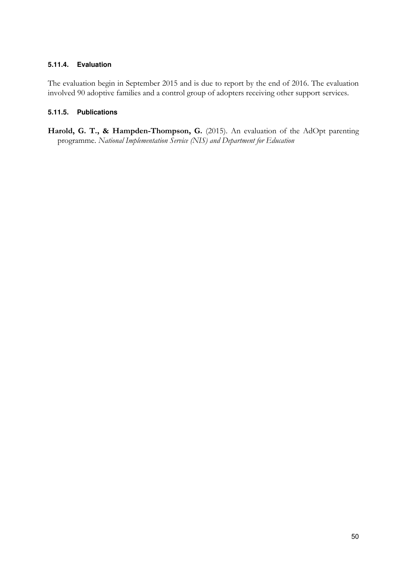# **5.11.4. Evaluation**

The evaluation begin in September 2015 and is due to report by the end of 2016. The evaluation involved 90 adoptive families and a control group of adopters receiving other support services.

# **5.11.5. Publications**

Harold, G. T., & Hampden-Thompson, G. (2015). An evaluation of the AdOpt parenting programme. *National Implementation Service (NIS) and Department for Education*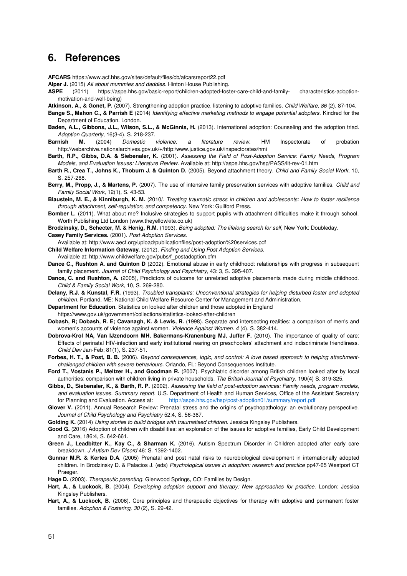# <span id="page-56-0"></span>**6. References**

**AFCARS**<https://www.acf.hhs.gov/sites/default/files/cb/afcarsreport22.pdf>

**Alper J.** (2015) *All about mummies and daddies.* Hinton House Publishing.

**ASPE** (2011[\) https://aspe.hhs.gov/basic-report/children-adopted-foster-care-child-and-family- characteristics-adoption](https://aspe.hhs.gov/basic-report/children-adopted-foster-care-child-and-family-characteristics-adoption-motivation-and-well-being)[motivation-and-well-being\)](https://aspe.hhs.gov/basic-report/children-adopted-foster-care-child-and-family-characteristics-adoption-motivation-and-well-being) 

**Atkinson, A., & Gonet, P.** (2007). Strengthening adoption practice, listening to adoptive families. *Child Welfare, 86* (2), 87-104.

- **Bange S., Mahon C., & Parrish E** (2014) *Identifying effective marketing methods to engage potential adopters.* Kindred for the Department of Education. London.
- **Baden, A.L., Gibbons, J.L., Wilson, S.L., & McGinnis, H.** (2013). International adoption: Counseling and the adoption triad. *Adoption Quarterly,* 16(3-4), S. 218-237.
- **Barnish M.** (2004) *Domestic violence: a literature review.* HM Inspectorate of probation <http://webarchive.nationalarchives.gov.uk/+/http:/www.justice.gov.uk/inspectorates/hmi>
- **Barth, R.P., Gibbs, D.A. & Siebenaler, K**. (2001). *Assessing the Field of Post-Adoption Service: Family Needs, Program Models, and Evaluation Issues: Literature Review.* Available at: [http://aspe.hhs.gov/hsp/PASS/lit-rev-01.htm](http://aspe.hhs.gov/hsp/PASS/lit%c3%a2%e2%82%ac%c2%90rev%c3%a2%e2%82%ac%c2%9001.htm)
- **Barth R., Crea T., Johns K., Thoburn J. & Quinton D.** (2005). Beyond attachment theory. *Child and Family Social Work*, 10, S. 257-268.
- **Berry, M., Propp, J., & Martens, P.** (2007). The use of intensive family preservation services with adoptive families. *Child and Family Social Work,* 12(1), S. 43-53.
- **Blaustein, M. E., & Kinniburgh, K. M.** (2010/. *Treating traumatic stress in children and adolescents: How to foster resilience through attachment, self-regulation, and competency.* New York: Guilford Press.
- **Bomber L.** (2011). What about me? Inclusive strategies to support pupils with attachment difficulties make it through school. Worth Publishing Ltd Londo[n \(www.theyellowkite.co.uk\)](http://www.theyellowkite.co.uk/)

**Brodzinsky, D., Schecter, M. & Henig, R.M.** (1993). *Being adopted: The lifelong search for self,* New York: Doubleday.

**Casey Family Services.** (2001). *Post Adoption Services.*

Available at[: http://www.aecf.org/upload/publicationfiles/post-adoption%20services.pdf](http://www.aecf.org/upload/publicationfiles/post-adoption%20services.pdf) 

**Child Welfare Information Gateway.** (2012). *Finding and Using Post Adoption Services.*

- Available at[: http://www.childwelfare.gov/pubs/f\\_postadoption.cfm](http://www.childwelfare.gov/pubs/f_postadoption.cfm)
- **Dance C., Rushton A. and Quinton D** (2002). Emotional abuse in early childhood: relationships with progress in subsequent family placement. *Journal of Child Psychology and Psychiatry,* 43: 3, S. 395-407.
- **Dance, C. and Rushton, A.** (2005), Predictors of outcome for unrelated adoptive placements made during middle childhood. *Child & Family Social Work,* 10, S. 269-280.
- **Delany, R.J. & Kunstal, F.R.** (1993). *Troubled transplants: Unconventional strategies for helping disturbed foster and adopted children.* Portland, ME: National Child Welfare Resource Center for Management and Administration.
- **Department for Education**. Statistics on looked after children and those adopted in England
- <https://www.gov.uk/government/collections/statistics-looked-after-children>
- **Dobash, R; Dobash, R. E; Cavanagh, K. & Lewis, R.** (1998). Separate and intersecting realities: a comparison of men's and women's accounts of violence against women. *Violence Against Women. 4* (4). S. 382-414.
- Dobrova-Krol NA, Van IJzendoorn MH, Bakermans-Kranenburg MJ, Juffer F. (2010). The importance of quality of care: Effects of perinatal HIV-infection and early institutional rearing on preschoolers' attachment and indiscriminate friendliness. *Child Dev* Jan-Feb; 81(1), S. 237-51.
- **Forbes, H. T., & Post, B. B.** (2006). *Beyond consequences, logic, and control: A love based approach to helping attachmentchallenged children with severe behaviours.* Orlando, FL: Beyond Consequences Institute.
- **Ford T., Vostanis P., Meltzer H., and Goodman R.** (2007). Psychiatric disorder among British children looked after by local authorities: comparison with children living in private households. *The British Journal of Psychiatry,* 190(4) S. 319-325.
- **Gibbs, D., Siebenaler, K., & Barth, R. P.** (2002). *Assessing the field of post-adoption services: Family needs, program models, and evaluation issues. Summary report.* U.S. Department of Health and Human Services, Office of the Assistant Secretary for Planning and Evaluation. Access a[t: http://aspe.hhs.gov/hsp/post-adoption01/summary/report.pdf](http://aspe.hhs.gov/hsp/post-adoption01/summary/report.pdf)
- Glover V. (2011). Annual Research Review: Prenatal stress and the origins of psychopathology: an evolutionary perspective. *Journal of Child Psychology and Psychiatry* 52:4, S. 56-367.

**Golding K.** (2014) *Using stories to build bridges with traumatised children.* Jessica Kingsley Publishers.

- **Good G.** (2016) Adoption of children with disabilities: an exploration of the issues for adoptive families, Early Child Development and Care, 186:4, S. 642-661.
- **Green J., Leadbitter K., Kay C., & Sharman K.** (2016). Autism Spectrum Disorder in Children adopted after early care breakdown. *J Autism Dev Disord* 46: S. 1392-1402.
- **Gunnar M.R. & Kertes D.A**. (2005) Prenatal and post natal risks to neurobiological development in internationally adopted children. In Brodzinsky D. & Palacios J. (eds) *Psychological issues in adoption: research and practice* pp47-65 Westport CT Praeger.

**Hage D.** (2003). *Therapeutic parenting.* Glenwood Springs, CO: Families by Design.

- **Hart, A., & Luckock, B.** (2004). *Developing adoption support and therapy: New approaches for practice.* London: Jessica Kingsley Publishers.
- Hart, A., & Luckock, B. (2006). Core principles and therapeutic objectives for therapy with adoptive and permanent foster families. *Adoption & Fostering, 30* (2), S. 29-42.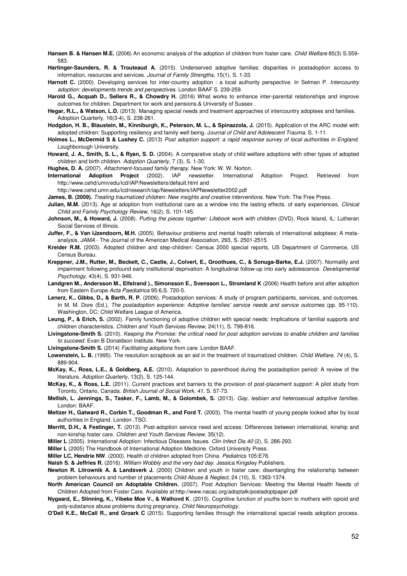**Hansen B. & Hansen M.E.** (2006) An economic analysis of the adoption of children from foster care. *Child Welfare* 85(3) S.559- 583.

- **Hartinger-Saunders, R. & Trouteaud A.** (2015). Underserved adoptive families: disparities in postadoption access to information, resources and services. *Journal of Family Strengths,* 15(1), S. 1-33.
- **Harnott C.** (2000). Developing services for inter-country adoption : a local authority perspective. In Selman P. *Intercountry adoption: developments trends and perspectives.* London BAAF S. 239-259.
- **Harold G., Acquah D., Sellers R., & Chowdry H.** (2016) What works to enhance inter-parental relationships and improve outcomes for children. Department for work and pensions.& University of Sussex .
- **Hegar, R.L., & Watson, L.D.** (2013). Managing special needs and treatment approaches of intercountry adoptees and families. Adoption Quarterly, 16(3-4), S. 238-261.
- **Hodgdon, H. B., Blaustein, M., Kinniburgh, K., Peterson, M. L., & Spinazzola, J.** (2015[\). Application of the ARC model with](http://www.traumacenter.org/products/pdf_files/ARC_with_Adopted_Children_H0001.pdf)  [adopted children: Supporting resiliency and family well being. J](http://www.traumacenter.org/products/pdf_files/ARC_with_Adopted_Children_H0001.pdf)*ournal of Child and Adolescent Trauma.* S. 1-11.
- **Holmes L., McDermid S & Lushey C.** (2013) *Post adoption support: a rapid response survey of local authorities in England.* Loughborough University.
- **Howard, J. A., Smith, S. L., & Ryan, S. D.** (2004). A comparative study of child welfare adoptions with other types of adopted children and birth children. *Adoption Quarterly,* 7 (3), S. 1-30.
- **Hughes, D. A.** (2007). *Attachment-focused family therapy.* New York: W. W. Norton.
- **International Adoption Project** (2002). IAP newsletter. International Adoption Project. Retrieved from <http://www.cehd/umn/edu/icd/IAP/Newsletters/default.html> and
	- <http://www.cehd.umn.edu/icd/research/iap/Newsletters/IAPNewsletter2002.pdf>
- **James, B. (2009).** *Treating traumatized children: New insights and creative interventions.* New York: The Free Press.
- **Julian, M.M.** (2013). Age at adoption from institutional care as a window into the lasting effects. of early experiences. *Clinical Child and Family Psychology Review,* 16(2), S. 101-145.
- **Johnson, M., & Howard, J.** (2008). *Putting the pieces together: Lifebook work with children* (DVD). Rock Island, IL: Lutheran Social Services of Illinois.
- **Juffer, F., & Van IJzendoorn, M.H.** (2005). Behaviour problems and mental health referrals of international adoptees: A metaanalysis. *JAMA* - The Journal of the American Medical Association, 293, S. 2501-2515.
- **Kreider R.M.** (2003). Adopted children and step-children: Census 2000 special reports, US Department of Commerce, US Census Bureau.
- **Kreppner, J.M., Rutter, M., Beckett, C., Castle, J., Colvert, E., Groothues, C., & Sonuga-Barke, E.J.** (2007). Normality and impairment following profound early institutional deprivation: A longitudinal follow-up into early adolescence. *Developmental Psychology,* 43(4), S. 931-946.
- **Landgren M., Andersson M., Elfstrand )., Simonsson E., Svensson L., Stromland K** (2006) Health before and after adoption from Eastern Europe *Acta Paediatrica* 95:6,S. 720-5.
- **Lenerz, K., Gibbs, D., & Barth, R. P.** (2006). Postadoption services: A study of program participants, services, and outcomes. In M. M. Dore (Ed.), *The postadoption experience: Adoptive families' service needs and service outcomes* (pp. 95-110). Washington, DC: Child Welfare League of America.
- **Leung, P., & Erich, S.** (2002). Family functioning of adoptive children with special needs: Implications of familial supports and children characteristics. *Children and Youth Services Review,* 24(11), S. 799-816.
- **Livingstone-Smith S.** (2010). *Keeping the Promise: the critical need for post adoption services to enable children and families to succeed.* Evan B Donaldson Institute. New York.
- **Livingstone-Smith S.** (2014) *Facilitating adoptions from care.* London BAAF.
- **Lowenstein, L. B.** (1995). The resolution scrapbook as an aid in the treatment of traumatized children. *Child Welfare, 74* (4), S. 889-904.
- **McKay, K., Ross, L.E., & Goldberg, A.E.** (2010). Adaptation to parenthood during the postadoption period: A review of the literature. *Adoption Quarterly,* 13(2), S. 125-144.
- **McKay, K., & Ross, L.E.** (2011). Current practices and barriers to the provision of post-placement support: A pilot study from Toronto, Ontario, Canada. *British Journal of Social Work, 41,* S. 57-73.
- **Mellish, L. Jennings, S., Tasker, F., Lamb, M., & Golombek, S.** (2013). *Gay, lesbian and heterosexual adoptive families.* London: BAAF.
- **Meltzer H., Gatward R., Corbin T., Goodman R., and Ford T.** (2003). The mental health of young people looked after by local authorities in England. London ,TSO.
- **Merritt, D.H., & Festinger, T.** (2013). Post-adoption service need and access: Differences between international, kinship and non-kinship foster care. *Children and Youth Services Review,* 35(12).
- **Miller L** (2005). International Adoption: Infectious Diseases Issues. *Clin Infect Dis.40* (2), S. 286-293.
- **Miller L** (2005) The Handbook of International Adoption Medicine. Oxford University Press.
- **Miller LC, Hendrie NW**. (2000). Health of children adopted from China. *Pediatrics* 105:E76.
- **Naish S. & Jeffries R.** (2016). *William Wobbly and the very bad day.* Jessica Kingsley Publishers.
- **Newton R. Litrownik A. & Landsverk J.** (2000) Children and youth in foster care: disentangling the relationship between problem behaviours and number of placements *Child Abuse & Neglect,* 24 (10), S. 1363-1374.
- **North American Council on Adoptable Children.** (2007). Post Adoption Services: Meeting the Mental Health Needs of Children Adopted from Foster Care. Available a[t:http://www.nacac.org/adoptalk/postadoptpaper.pdf](http://www.nacac.org/adoptalk/postadoptpaper.pdf)
- **Nygaard, E., Slinning, K., Vibeke Moe V., & Walhovd K**. (2015). Cognitive function of youths born to mothers with opioid and poly-substance abuse problems during pregnancy, *Child Neuropsychology.*
- **O'Dell K.E., McCall R., and Groark C** (2015). Supporting families through the international special needs adoption process.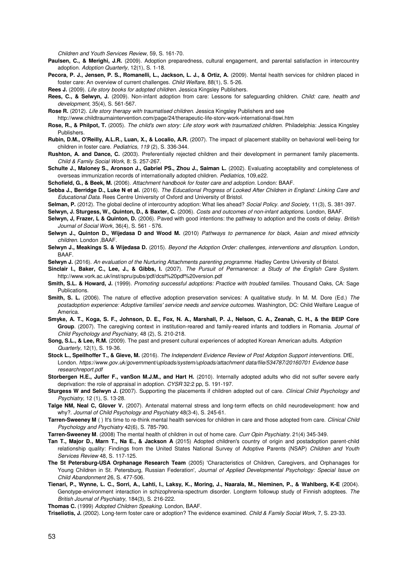*Children and Youth Services Review,* 59, S. 161-70.

- **Paulsen, C., & Merighi, J.R.** (2009). Adoption preparedness, cultural engagement, and parental satisfaction in intercountry adoption. *Adoption Quarterly*, 12(1), S. 1-18.
- **Pecora, P. J., Jensen, P. S., Romanelli, L., Jackson, L. J., & Ortiz, A.** (2009). Mental health services for children placed in foster care: An overview of current challenges. *Child Welfare,* 88(1), S. 5-26.
- **Rees J.** (2009). *Life story books for adopted children.* Jessica Kingsley Publishers.
- **Rees, C., & Selwyn, J.** (2009). Non-infant adoption from care: Lessons for safeguarding children. *Child: care, health and development,* 35(4), S. 561-567.
- **Rose R.** (2012). *Life story therapy with traumatised children.* Jessica Kingsley Publishers and see [http://www.childtraumaintervention.com/page/24/therapeutic-life-storv-work-international-tlswi.htm](http://www.childtraumaintervention.com/page/24/therapeutic-life-story-work-international-tlswi.htm)
- **Rose, R., & Philpot, T.** (2005). *The child's own story: Life story work with traumatized children.* Philadelphia: Jessica Kingsley
- Publishers.
- **Rubin, D.M., O'Reilly, A.L.R., Luan, X., & Localio, A.R.** (2007). The impact of placement stability on behavioral well-being for children in foster care. *Pediatrics, 119* (2), S. 336-344.
- **Rushton, A. and Dance, C.** (2003). Preferentially rejected children and their development in permanent family placements. *Child & Family Social Work,* 8: S. 257-267.
- **Schulte J., Maloney S., Aronson J., Gabriel PS., Zhou J., Saiman L.** (2002). Evaluating acceptability and completeness of overseas immunization records of internationally adopted children. *Pediatrics,* 109,e22.

**Schofield, G., & Beek, M.** (2006). *Attachment handbook for foster care and adoption.* London: BAAF.

- **Sebba J., Berridge D., Luke N et al.** (2016). *The Educational Progress of Looked After Children in England: Linking Care and Educational Data.* Rees Centre University of Oxford and University of Bristol.
- **Selman, P.** (2012). The global decline of intercountry adoption: What lies ahead? *Social Policy. and Society,* 11(3), S. 381-397.

**Selwyn, J. Sturgess, W., Quinton, D., & Baxter, C.** (2006). *Costs and outcomes of non-infant adoptions.* London, BAAF.

- **Selwyn, J, Frazer, L & Quinton, D.** (2006). Paved with good intentions: the pathway to adoption and the costs of delay. *British Journal of Social Work,* 36(4), S. 561 - 576.
- **Selwyn J., Quinton D., Wijedasa D and Wood M.** (2010) *Pathways to permanence for black, Asian and mixed ethnicity children.* London ,BAAF.
- **Selwyn J., Meakings S. & Wijedasa D.** (2015). *Beyond the Adoption Order: challenges, interventions and disruption*. London, BAAF.
- **Selwyn J.** (2016). *An evaluation of the Nurturing Attachments parenting programme.* Hadley Centre University of Bristol.
- **Sinclair I., Baker, C., Lee, J., & Gibbs, I.** (2007). *The Pursuit of Permanence: a Study of the English Care System[.](http://www.york.ac.uk/inst/spru/pubs/pdf/dcsf%20pdf%20version.pdf)* [http://www.vork.ac.uk/inst/spru/pubs/pdf/dcsf%20pdf%20version.pdf](http://www.york.ac.uk/inst/spru/pubs/pdf/dcsf%20pdf%20version.pdf)
- **Smith, S.L. & Howard, J.** (1999). *Promoting successful adoptions: Practice with troubled families.* Thousand Oaks, CA: Sage **Publications**
- **Smith, S. L.** (2006). The nature of effective adoption preservation services: A qualitative study. In M. M. Dore (Ed.) *The postadoption experience: Adoptive families' service needs and service outcomes.* Washington, DC: Child Welfare League of America.
- **Smyke, A. T., Koga, S. F., Johnson, D. E., Fox, N. A., Marshall, P. J., Nelson, C. A., Zeanah, C. H., & the BEIP Core Group**. (2007). The caregiving context in institution-reared and family-reared infants and toddlers in Romania. *Journal of Child Psychology and Psychiatry,* 48 (2), S. 210-218.
- **Song, S.L., & Lee, R.M.** (2009). The past and present cultural experiences of adopted Korean American adults. *Adoption Quarterly,* 12(1), S. 19-36.
- **Stock L., Speilhoffer T., & Gieve, M.** (2016). *The Independent Evidence Review of Post Adoption Support interventions.* DfE, London. *[https://www.gov.uk/government/uploads/system/uploads/attachment data/file/534787/20160701 Evidence base](https://www.gov.uk/government/uploads/system/uploads/attachment_data/file/534787/20160701Evidence_base_researchreport.pdf)  [researchreport.pdf](https://www.gov.uk/government/uploads/system/uploads/attachment_data/file/534787/20160701Evidence_base_researchreport.pdf)*
- **Storbergen H.E., Juffer F., vanSon M.J.M., and Hart H.** (2010). Internally adopted adults who did not suffer severe early deprivation: the role of appraisal in adoption. *CYSR* 32:2 pp, S. 191-197.
- **Sturgess W and Selwyn J. (**2007). Supporting the placements if children adopted out of care. *Clinical Child Psychology and Psychiatry,* 12 (1), S. 13-28.
- **Talge NM, Neal C, Glover V.** (2007). Antenatal maternal stress and long-term effects on child neurodevelopment: how and why?. *Journal of Child Psychology and Psychiatry* 48(3-4), S. 245-61.
- **Tarren-Sweeney M** ( ) It's time to re-think mental health services for children in care and those adopted from care. *Clinical Child Psychology and Psychiatry* 42(6), S. 785-790.
- **Tarren-Sweeney M**. (2008) The mental health of children in out of home care. *Curr Opin Psychiatry.* 21(4) 345-349.
- **Tan T., Major D., Marn T., Na E., & Jackson A** (2015) Adopted children's country of origin and postadoption parent-child relationship quality: Findings from the United States National Survey of Adoptive Parents (NSAP) *Children and Youth Services Review* 48, S. 117-125.
- **The St Petersburg-USA Orphanage Research Team** (2005) 'Characteristics of Children, Caregivers, and Orphanages for Young Children in St. Petersburg, Russian Federation', *Journal of Applied Developmental Psychology: Special Issue on Child Abandonment* 26, S. 477-506.
- **Tienari, P., Wynne, L. C., Sorri, A., Lahti, I., Laksy, K., Moring, J., Naarala, M., Nieminen, P., & Wahlberg, K-E** (2004). Genotype-environment interaction in schizophrenia-spectrum disorder. Longterm followup study of Finnish adoptees. *The British Journal of Psychiatry,* 184(3), S. 216-222.
- **Thomas C.** (1999) *Adopted Children Speaking.* London, BAAF.

**Triseliotis, J.** (2002). Long-term foster care or adoption? The evidence examined. *Child & Family Social Work,* 7, S. 23-33.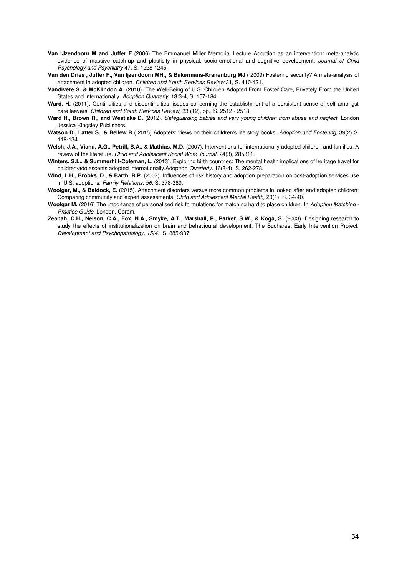- **Van IJzendoorn M and Juffer F** (2006) The Emmanuel Miller Memorial Lecture Adoption as an intervention: meta-analytic evidence of massive catch-up and plasticity in physical, socio-emotional and cognitive development. *Journal of Child Psychology and Psychiatry* 47, S. 1228-1245.
- **Van den Dries , Juffer F., Van Ijzendoorn MH., & Bakermans-Kranenburg MJ** ( 2009) Fostering security? A meta-analysis of attachment in adopted children. *Children and Youth Services Review* 31, S. 410-421.
- **Vandivere S. & McKlindon A.** (2010). The Well-Being of U.S. Children Adopted From Foster Care, Privately From the United States and Internationally. *Adoption Quarterly,* 13:3-4, S. 157-184.
- Ward, H. (2011). Continuities and discontinuities: issues concerning the establishment of a persistent sense of self amongst care leavers. *Children and Youth Services Review,* 33 (12), pp., S. 2512 - 2518.
- **Ward H., Brown R., and Westlake D.** (2012). *Safeguarding babies and very young children from abuse and neglect.* London Jessica Kingsley Publishers.
- **Watson D., Latter S., & Bellew R** ( 2015) Adopters' views on their children's life story books. *Adoption and Fostering,* 39(2) S. 119-134.
- **Welsh, J.A., Viana, A.G., Petrill, S.A., & Mathias, M.D.** (2007). Interventions for internationally adopted children and families: A review of the literature. *Child and Adolescent Social Work Journal,* 24(3), 285311.
- **Winters, S.L., & Summerhill-Coleman, L**. (2013). Exploring birth countries: The mental health implications of heritage travel for children/adolescents adopted internationally.Adopt/on *Quarterly,* 16(3-4), S. 262-278.
- **Wind, L.H., Brooks, D., & Barth, R.P.** (2007). Influences of risk history and adoption preparation on post-adoption services use in U.S. adoptions. *Family Relations, 56,* S. 378-389.
- **Woolgar, M., & Baldock, E.** (2015). Attachment disorders versus more common problems in looked after and adopted children: Comparing community and expert assessments. *Child and Adolescent Mental Health,* 20(1), S. 34-40.
- **Woolgar M.** (2016) The importance of personalised risk formulations for matching hard to place children. In *Adoption Matching - Practice Guide.* London, Coram.
- **Zeanah, C.H., Nelson, C.A., Fox, N.A., Smyke, A.T., Marshall, P., Parker, S.W., & Koga, S**. (2003). Designing research to study the effects of institutionalization on brain and behavioural development: The Bucharest Early Intervention Project. *Development and Psychopathology, 15(4),* S. 885-907.